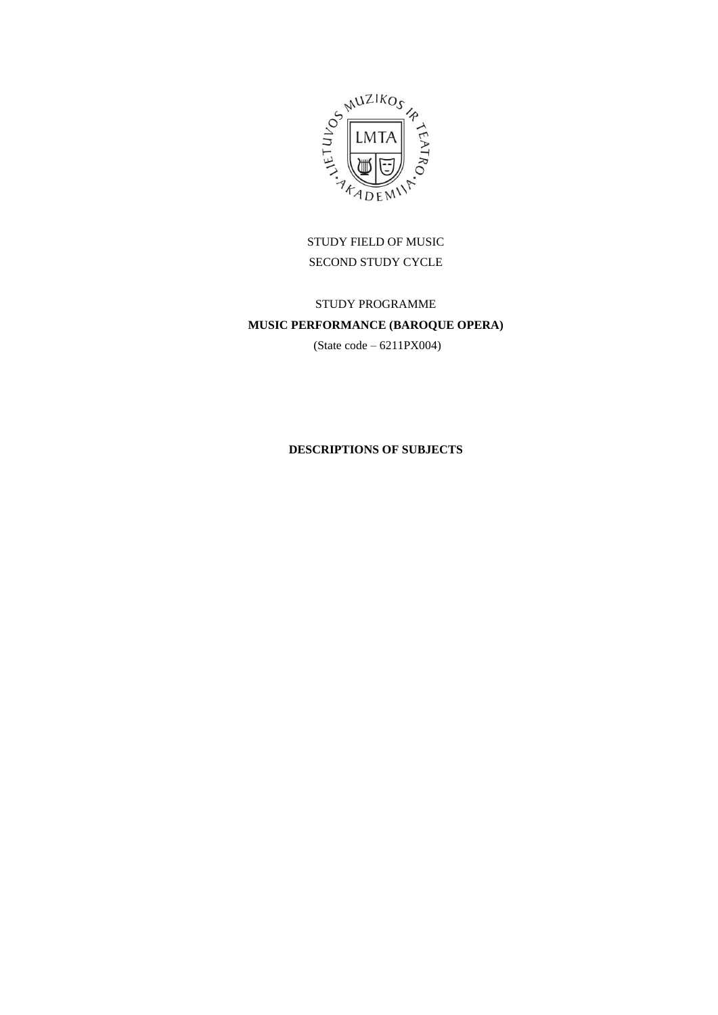

STUDY FIELD OF MUSIC SECOND STUDY CYCLE

# STUDY PROGRAMME **MUSIC PERFORMANCE (BAROQUE OPERA)**

(State code – 6211PX004)

## **DESCRIPTIONS OF SUBJECTS**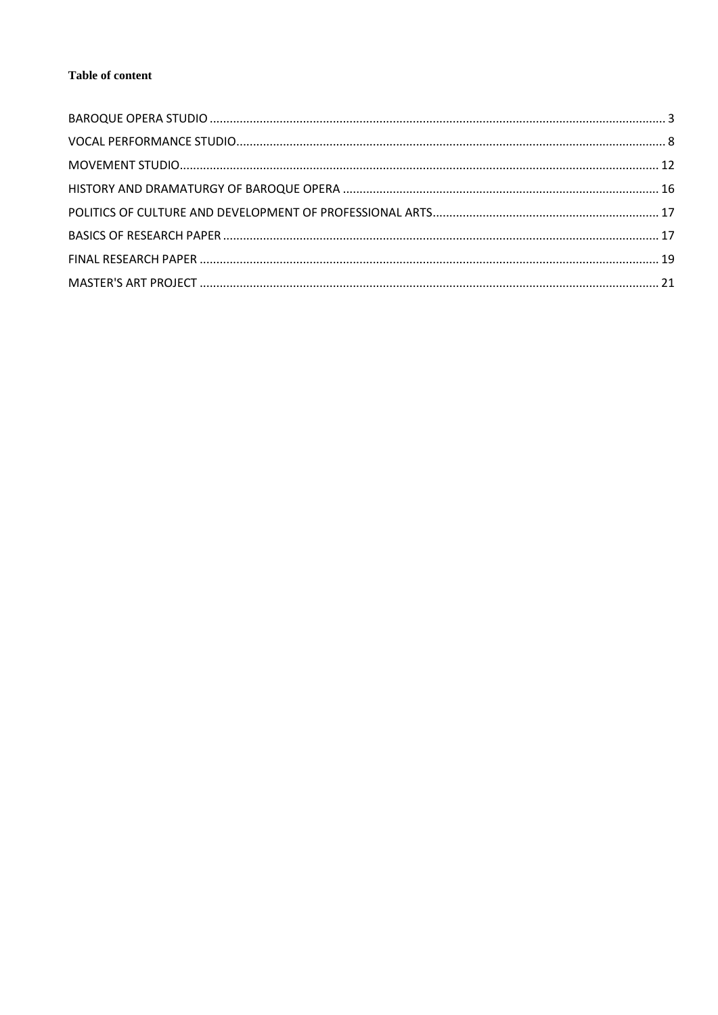### Table of content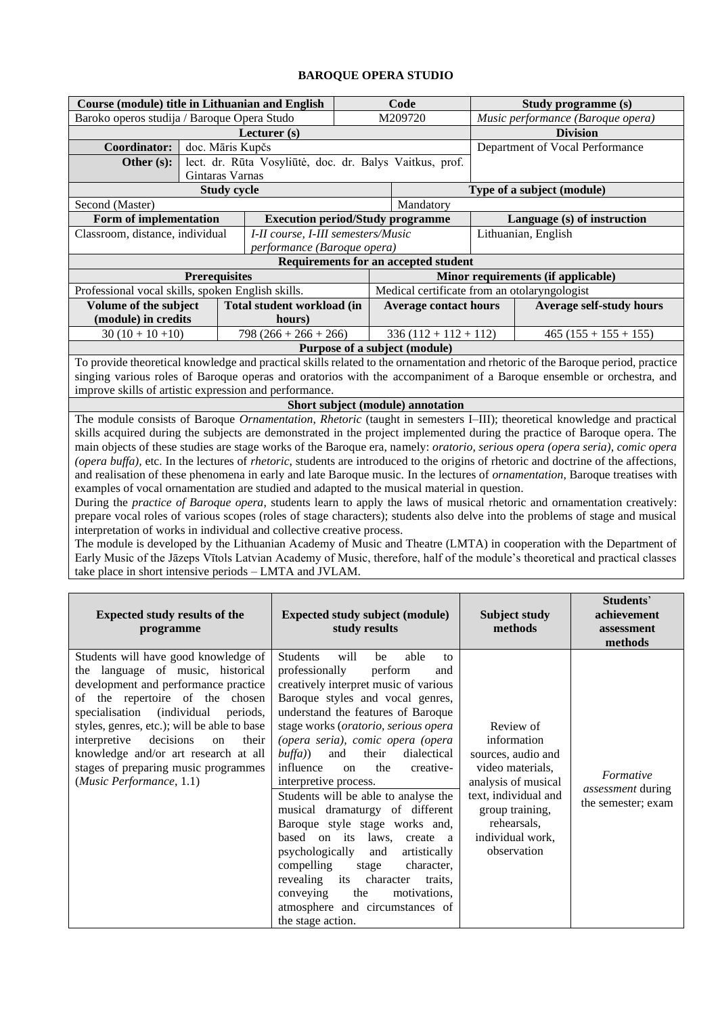# **BAROQUE OPERA STUDIO**

<span id="page-2-0"></span>

| <b>Course (module) title in Lithuanian and English</b>                                                                                                                                                                                                                                                                                                                                                                                                                                                                                                                                                                                                                                                                                                                                                                                                                                                                                                                                                                                                                                                                                                                                                                                                                                           |                                                                                                                                                                                                                     | Code                                                           |                                                                                                                                                                                                                                                                                                                                                                                                                                                                                                                                                                                                                                                                                                                                       |                                                    | Study programme (s)                |                                                      |  |
|--------------------------------------------------------------------------------------------------------------------------------------------------------------------------------------------------------------------------------------------------------------------------------------------------------------------------------------------------------------------------------------------------------------------------------------------------------------------------------------------------------------------------------------------------------------------------------------------------------------------------------------------------------------------------------------------------------------------------------------------------------------------------------------------------------------------------------------------------------------------------------------------------------------------------------------------------------------------------------------------------------------------------------------------------------------------------------------------------------------------------------------------------------------------------------------------------------------------------------------------------------------------------------------------------|---------------------------------------------------------------------------------------------------------------------------------------------------------------------------------------------------------------------|----------------------------------------------------------------|---------------------------------------------------------------------------------------------------------------------------------------------------------------------------------------------------------------------------------------------------------------------------------------------------------------------------------------------------------------------------------------------------------------------------------------------------------------------------------------------------------------------------------------------------------------------------------------------------------------------------------------------------------------------------------------------------------------------------------------|----------------------------------------------------|------------------------------------|------------------------------------------------------|--|
| Baroko operos studija / Baroque Opera Studo                                                                                                                                                                                                                                                                                                                                                                                                                                                                                                                                                                                                                                                                                                                                                                                                                                                                                                                                                                                                                                                                                                                                                                                                                                                      |                                                                                                                                                                                                                     | M209720                                                        |                                                                                                                                                                                                                                                                                                                                                                                                                                                                                                                                                                                                                                                                                                                                       |                                                    | Music performance (Baroque opera)  |                                                      |  |
|                                                                                                                                                                                                                                                                                                                                                                                                                                                                                                                                                                                                                                                                                                                                                                                                                                                                                                                                                                                                                                                                                                                                                                                                                                                                                                  | Lecturer (s)                                                                                                                                                                                                        |                                                                |                                                                                                                                                                                                                                                                                                                                                                                                                                                                                                                                                                                                                                                                                                                                       | <b>Division</b><br>Department of Vocal Performance |                                    |                                                      |  |
| doc. Māris Kupčs<br>Coordinator:                                                                                                                                                                                                                                                                                                                                                                                                                                                                                                                                                                                                                                                                                                                                                                                                                                                                                                                                                                                                                                                                                                                                                                                                                                                                 |                                                                                                                                                                                                                     |                                                                |                                                                                                                                                                                                                                                                                                                                                                                                                                                                                                                                                                                                                                                                                                                                       |                                                    |                                    |                                                      |  |
| Other (s):<br>Gintaras Varnas                                                                                                                                                                                                                                                                                                                                                                                                                                                                                                                                                                                                                                                                                                                                                                                                                                                                                                                                                                                                                                                                                                                                                                                                                                                                    | lect. dr. Rūta Vosyliūtė, doc. dr. Balys Vaitkus, prof.                                                                                                                                                             |                                                                |                                                                                                                                                                                                                                                                                                                                                                                                                                                                                                                                                                                                                                                                                                                                       |                                                    |                                    |                                                      |  |
| <b>Study cycle</b>                                                                                                                                                                                                                                                                                                                                                                                                                                                                                                                                                                                                                                                                                                                                                                                                                                                                                                                                                                                                                                                                                                                                                                                                                                                                               |                                                                                                                                                                                                                     |                                                                |                                                                                                                                                                                                                                                                                                                                                                                                                                                                                                                                                                                                                                                                                                                                       |                                                    | Type of a subject (module)         |                                                      |  |
| Second (Master)                                                                                                                                                                                                                                                                                                                                                                                                                                                                                                                                                                                                                                                                                                                                                                                                                                                                                                                                                                                                                                                                                                                                                                                                                                                                                  |                                                                                                                                                                                                                     |                                                                | Mandatory                                                                                                                                                                                                                                                                                                                                                                                                                                                                                                                                                                                                                                                                                                                             |                                                    |                                    |                                                      |  |
| Form of implementation                                                                                                                                                                                                                                                                                                                                                                                                                                                                                                                                                                                                                                                                                                                                                                                                                                                                                                                                                                                                                                                                                                                                                                                                                                                                           | <b>Execution period/Study programme</b>                                                                                                                                                                             |                                                                |                                                                                                                                                                                                                                                                                                                                                                                                                                                                                                                                                                                                                                                                                                                                       |                                                    |                                    | Language (s) of instruction                          |  |
| Classroom, distance, individual                                                                                                                                                                                                                                                                                                                                                                                                                                                                                                                                                                                                                                                                                                                                                                                                                                                                                                                                                                                                                                                                                                                                                                                                                                                                  | I-II course, I-III semesters/Music                                                                                                                                                                                  |                                                                |                                                                                                                                                                                                                                                                                                                                                                                                                                                                                                                                                                                                                                                                                                                                       |                                                    | Lithuanian, English                |                                                      |  |
|                                                                                                                                                                                                                                                                                                                                                                                                                                                                                                                                                                                                                                                                                                                                                                                                                                                                                                                                                                                                                                                                                                                                                                                                                                                                                                  | performance (Baroque opera)                                                                                                                                                                                         |                                                                |                                                                                                                                                                                                                                                                                                                                                                                                                                                                                                                                                                                                                                                                                                                                       |                                                    |                                    |                                                      |  |
|                                                                                                                                                                                                                                                                                                                                                                                                                                                                                                                                                                                                                                                                                                                                                                                                                                                                                                                                                                                                                                                                                                                                                                                                                                                                                                  |                                                                                                                                                                                                                     |                                                                | Requirements for an accepted student                                                                                                                                                                                                                                                                                                                                                                                                                                                                                                                                                                                                                                                                                                  |                                                    |                                    |                                                      |  |
| <b>Prerequisites</b>                                                                                                                                                                                                                                                                                                                                                                                                                                                                                                                                                                                                                                                                                                                                                                                                                                                                                                                                                                                                                                                                                                                                                                                                                                                                             |                                                                                                                                                                                                                     |                                                                |                                                                                                                                                                                                                                                                                                                                                                                                                                                                                                                                                                                                                                                                                                                                       |                                                    | Minor requirements (if applicable) |                                                      |  |
| Professional vocal skills, spoken English skills.                                                                                                                                                                                                                                                                                                                                                                                                                                                                                                                                                                                                                                                                                                                                                                                                                                                                                                                                                                                                                                                                                                                                                                                                                                                |                                                                                                                                                                                                                     |                                                                | Medical certificate from an otolaryngologist                                                                                                                                                                                                                                                                                                                                                                                                                                                                                                                                                                                                                                                                                          |                                                    |                                    |                                                      |  |
| Volume of the subject                                                                                                                                                                                                                                                                                                                                                                                                                                                                                                                                                                                                                                                                                                                                                                                                                                                                                                                                                                                                                                                                                                                                                                                                                                                                            | Total student workload (in                                                                                                                                                                                          |                                                                | <b>Average contact hours</b>                                                                                                                                                                                                                                                                                                                                                                                                                                                                                                                                                                                                                                                                                                          |                                                    |                                    | <b>Average self-study hours</b>                      |  |
| (module) in credits                                                                                                                                                                                                                                                                                                                                                                                                                                                                                                                                                                                                                                                                                                                                                                                                                                                                                                                                                                                                                                                                                                                                                                                                                                                                              | hours)                                                                                                                                                                                                              |                                                                |                                                                                                                                                                                                                                                                                                                                                                                                                                                                                                                                                                                                                                                                                                                                       |                                                    |                                    |                                                      |  |
| $30(10+10+10)$                                                                                                                                                                                                                                                                                                                                                                                                                                                                                                                                                                                                                                                                                                                                                                                                                                                                                                                                                                                                                                                                                                                                                                                                                                                                                   | $798(266+266+266)$                                                                                                                                                                                                  |                                                                | $336(112+112+112)$                                                                                                                                                                                                                                                                                                                                                                                                                                                                                                                                                                                                                                                                                                                    |                                                    |                                    | $465(155+155+155)$                                   |  |
| To provide theoretical knowledge and practical skills related to the ornamentation and rhetoric of the Baroque period, practice                                                                                                                                                                                                                                                                                                                                                                                                                                                                                                                                                                                                                                                                                                                                                                                                                                                                                                                                                                                                                                                                                                                                                                  |                                                                                                                                                                                                                     |                                                                | Purpose of a subject (module)                                                                                                                                                                                                                                                                                                                                                                                                                                                                                                                                                                                                                                                                                                         |                                                    |                                    |                                                      |  |
| singing various roles of Baroque operas and oratorios with the accompaniment of a Baroque ensemble or orchestra, and                                                                                                                                                                                                                                                                                                                                                                                                                                                                                                                                                                                                                                                                                                                                                                                                                                                                                                                                                                                                                                                                                                                                                                             |                                                                                                                                                                                                                     |                                                                |                                                                                                                                                                                                                                                                                                                                                                                                                                                                                                                                                                                                                                                                                                                                       |                                                    |                                    |                                                      |  |
| improve skills of artistic expression and performance.                                                                                                                                                                                                                                                                                                                                                                                                                                                                                                                                                                                                                                                                                                                                                                                                                                                                                                                                                                                                                                                                                                                                                                                                                                           |                                                                                                                                                                                                                     |                                                                |                                                                                                                                                                                                                                                                                                                                                                                                                                                                                                                                                                                                                                                                                                                                       |                                                    |                                    |                                                      |  |
| The module consists of Baroque Ornamentation, Rhetoric (taught in semesters I-III); theoretical knowledge and practical                                                                                                                                                                                                                                                                                                                                                                                                                                                                                                                                                                                                                                                                                                                                                                                                                                                                                                                                                                                                                                                                                                                                                                          |                                                                                                                                                                                                                     |                                                                | Short subject (module) annotation                                                                                                                                                                                                                                                                                                                                                                                                                                                                                                                                                                                                                                                                                                     |                                                    |                                    |                                                      |  |
| skills acquired during the subjects are demonstrated in the project implemented during the practice of Baroque opera. The<br>main objects of these studies are stage works of the Baroque era, namely: <i>oratorio, serious opera (opera seria), comic opera</i><br>(opera buffa), etc. In the lectures of rhetoric, students are introduced to the origins of rhetoric and doctrine of the affections,<br>and realisation of these phenomena in early and late Baroque music. In the lectures of ornamentation, Baroque treatises with<br>examples of vocal ornamentation are studied and adapted to the musical material in question.<br>During the practice of Baroque opera, students learn to apply the laws of musical rhetoric and ornamentation creatively:<br>prepare vocal roles of various scopes (roles of stage characters); students also delve into the problems of stage and musical<br>interpretation of works in individual and collective creative process.<br>The module is developed by the Lithuanian Academy of Music and Theatre (LMTA) in cooperation with the Department of<br>Early Music of the Jāzeps Vītols Latvian Academy of Music, therefore, half of the module's theoretical and practical classes<br>take place in short intensive periods - LMTA and JVLAM. |                                                                                                                                                                                                                     |                                                                |                                                                                                                                                                                                                                                                                                                                                                                                                                                                                                                                                                                                                                                                                                                                       |                                                    |                                    |                                                      |  |
| <b>Expected study results of the</b><br>programme                                                                                                                                                                                                                                                                                                                                                                                                                                                                                                                                                                                                                                                                                                                                                                                                                                                                                                                                                                                                                                                                                                                                                                                                                                                |                                                                                                                                                                                                                     | study results                                                  |                                                                                                                                                                                                                                                                                                                                                                                                                                                                                                                                                                                                                                                                                                                                       |                                                    |                                    | Students'<br>achievement<br>assessment<br>methods    |  |
| Students will have good knowledge of<br>the language of music, historical<br>development and performance practice<br>of the repertoire of the chosen<br>specialisation<br><i>(individual</i> )<br>periods,<br>styles, genres, etc.); will be able to base<br>interpretive<br>decisions<br><sub>on</sub><br>their<br>knowledge and/or art research at all<br>stages of preparing music programmes<br>(Music Performance, 1.1)                                                                                                                                                                                                                                                                                                                                                                                                                                                                                                                                                                                                                                                                                                                                                                                                                                                                     | Students<br>professionally<br>butfa)<br>influence<br>interpretive process.<br>based on its laws,<br>psychologically<br>compelling<br>revealing<br>conveying<br>atmosphere and circumstances of<br>the stage action. | will<br>be<br>and<br>their<br>on<br>and<br>stage<br>its<br>the | <b>Expected study subject (module)</b><br><b>Subject study</b><br>methods<br>able<br>to<br>perform<br>and<br>creatively interpret music of various<br>Baroque styles and vocal genres,<br>understand the features of Baroque<br>stage works (oratorio, serious opera<br>Review of<br>(opera seria), comic opera (opera<br>information<br>dialectical<br>sources, audio and<br>the<br>creative-<br>video materials,<br>analysis of musical<br>Students will be able to analyse the<br>text, individual and<br>group training,<br>musical dramaturgy of different<br>Baroque style stage works and,<br>rehearsals,<br>individual work,<br>create a<br>observation<br>artistically<br>character,<br>character<br>traits,<br>motivations, |                                                    |                                    | Formative<br>assessment during<br>the semester; exam |  |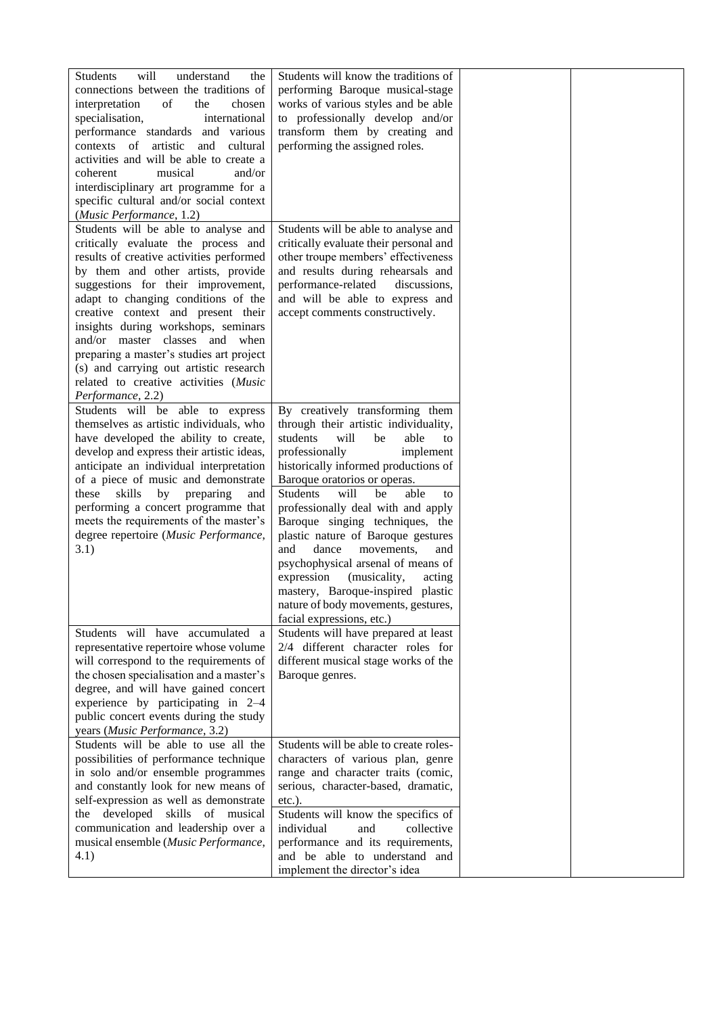| will<br><b>Students</b><br>understand<br>the<br>connections between the traditions of<br>interpretation<br>of<br>the<br>chosen<br>specialisation,<br>international<br>performance standards and various<br>artistic and<br>contexts of<br>cultural<br>activities and will be able to create a<br>musical<br>and/or<br>coherent<br>interdisciplinary art programme for a<br>specific cultural and/or social context<br>(Music Performance, 1.2)                                                                | Students will know the traditions of<br>performing Baroque musical-stage<br>works of various styles and be able<br>to professionally develop and/or<br>transform them by creating and<br>performing the assigned roles.                                                                                                                                                                                                                                                                                                                                                                                        |  |
|---------------------------------------------------------------------------------------------------------------------------------------------------------------------------------------------------------------------------------------------------------------------------------------------------------------------------------------------------------------------------------------------------------------------------------------------------------------------------------------------------------------|----------------------------------------------------------------------------------------------------------------------------------------------------------------------------------------------------------------------------------------------------------------------------------------------------------------------------------------------------------------------------------------------------------------------------------------------------------------------------------------------------------------------------------------------------------------------------------------------------------------|--|
| Students will be able to analyse and<br>critically evaluate the process and<br>results of creative activities performed<br>by them and other artists, provide<br>suggestions for their improvement,<br>adapt to changing conditions of the<br>creative context and present their<br>insights during workshops, seminars<br>and/or master classes and when<br>preparing a master's studies art project<br>(s) and carrying out artistic research<br>related to creative activities (Music<br>Performance, 2.2) | Students will be able to analyse and<br>critically evaluate their personal and<br>other troupe members' effectiveness<br>and results during rehearsals and<br>performance-related<br>discussions,<br>and will be able to express and<br>accept comments constructively.                                                                                                                                                                                                                                                                                                                                        |  |
| Students will be able to express<br>themselves as artistic individuals, who<br>have developed the ability to create,<br>develop and express their artistic ideas,<br>anticipate an individual interpretation<br>of a piece of music and demonstrate<br>these<br>skills<br>by<br>preparing<br>and<br>performing a concert programme that<br>meets the requirements of the master's<br>degree repertoire (Music Performance,<br>3.1)                                                                            | By creatively transforming them<br>through their artistic individuality,<br>students<br>will<br>be<br>able<br>to<br>professionally<br>implement<br>historically informed productions of<br>Baroque oratorios or operas.<br><b>Students</b><br>will<br>able<br>be<br>to<br>professionally deal with and apply<br>Baroque singing techniques, the<br>plastic nature of Baroque gestures<br>and<br>dance<br>movements,<br>and<br>psychophysical arsenal of means of<br>expression (musicality,<br>acting<br>mastery, Baroque-inspired plastic<br>nature of body movements, gestures,<br>facial expressions, etc.) |  |
| Students will have accumulated a<br>representative repertoire whose volume<br>will correspond to the requirements of<br>the chosen specialisation and a master's<br>degree, and will have gained concert<br>experience by participating in 2-4<br>public concert events during the study<br>years (Music Performance, 3.2)                                                                                                                                                                                    | Students will have prepared at least<br>2/4 different character roles for<br>different musical stage works of the<br>Baroque genres.                                                                                                                                                                                                                                                                                                                                                                                                                                                                           |  |
| Students will be able to use all the<br>possibilities of performance technique<br>in solo and/or ensemble programmes<br>and constantly look for new means of<br>self-expression as well as demonstrate<br>developed skills of musical<br>the<br>communication and leadership over a<br>musical ensemble (Music Performance,<br>4.1)                                                                                                                                                                           | Students will be able to create roles-<br>characters of various plan, genre<br>range and character traits (comic,<br>serious, character-based, dramatic,<br>$etc.$ ).<br>Students will know the specifics of<br>individual<br>collective<br>and<br>performance and its requirements,<br>and be able to understand and<br>implement the director's idea                                                                                                                                                                                                                                                         |  |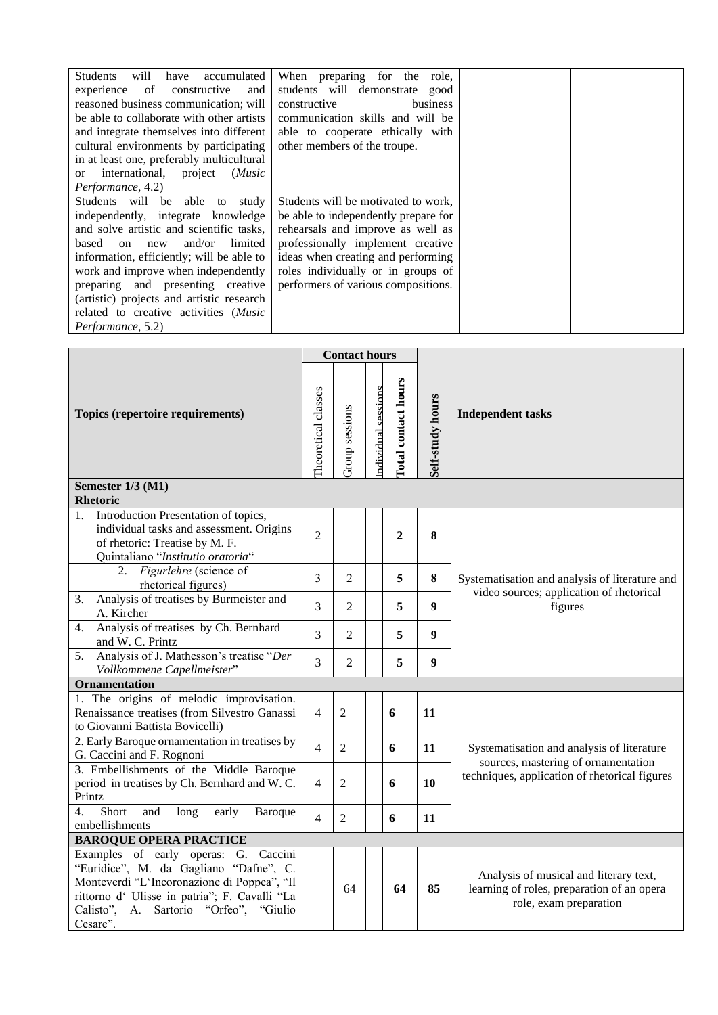| will<br><b>Students</b><br>accumulated<br>have | When preparing for the role,         |
|------------------------------------------------|--------------------------------------|
| experience<br>of<br>constructive<br>and        | students will demonstrate good       |
| reasoned business communication; will          | constructive<br>business             |
| be able to collaborate with other artists      | communication skills and will be     |
| and integrate themselves into different        | able to cooperate ethically with     |
| cultural environments by participating         | other members of the troupe.         |
| in at least one, preferably multicultural      |                                      |
| or international, project<br>(Music            |                                      |
| Performance, 4.2)                              |                                      |
| Students will be able<br>study<br>to           | Students will be motivated to work,  |
| independently, integrate knowledge             | be able to independently prepare for |
| and solve artistic and scientific tasks,       | rehearsals and improve as well as    |
| and/or<br>based on new<br>limited              | professionally implement creative    |
| information, efficiently; will be able to      | ideas when creating and performing   |
| work and improve when independently            | roles individually or in groups of   |
| preparing and presenting creative              | performers of various compositions.  |
| (artistic) projects and artistic research      |                                      |
| related to creative activities (Music          |                                      |
| Performance, 5.2)                              |                                      |

|                                                                                                                                                                                                                                         | <b>Contact hours</b>                                                               |                |                  |                          |                  |                                                                                                                |  |  |
|-----------------------------------------------------------------------------------------------------------------------------------------------------------------------------------------------------------------------------------------|------------------------------------------------------------------------------------|----------------|------------------|--------------------------|------------------|----------------------------------------------------------------------------------------------------------------|--|--|
| Topics (repertoire requirements)                                                                                                                                                                                                        | Total contact hours<br>ndividual sessions<br>Theoretical classes<br>Group sessions |                | Self-study hours | <b>Independent tasks</b> |                  |                                                                                                                |  |  |
| Semester 1/3 (M1)                                                                                                                                                                                                                       |                                                                                    |                |                  |                          |                  |                                                                                                                |  |  |
| <b>Rhetoric</b>                                                                                                                                                                                                                         |                                                                                    |                |                  |                          |                  |                                                                                                                |  |  |
| Introduction Presentation of topics,<br>1.<br>individual tasks and assessment. Origins<br>of rhetoric: Treatise by M. F.<br>Quintaliano "Institutio oratoria"                                                                           | $\overline{2}$                                                                     |                |                  | $\mathbf{2}$             | $\bf{8}$         |                                                                                                                |  |  |
| 2. Figurlehre (science of<br>rhetorical figures)                                                                                                                                                                                        | 3                                                                                  | $\overline{2}$ |                  | 5                        | 8                | Systematisation and analysis of literature and                                                                 |  |  |
| Analysis of treatises by Burmeister and<br>3.<br>A. Kircher                                                                                                                                                                             | 3                                                                                  | $\overline{2}$ |                  | 5                        | $\boldsymbol{9}$ | video sources; application of rhetorical<br>figures                                                            |  |  |
| Analysis of treatises by Ch. Bernhard<br>4.<br>and W. C. Printz                                                                                                                                                                         | 3                                                                                  | $\overline{2}$ |                  | 5                        | 9                |                                                                                                                |  |  |
| Analysis of J. Mathesson's treatise "Der<br>5.<br>Vollkommene Capellmeister"                                                                                                                                                            | 3                                                                                  | $\overline{2}$ |                  | 5                        | $\boldsymbol{9}$ |                                                                                                                |  |  |
| <b>Ornamentation</b>                                                                                                                                                                                                                    |                                                                                    |                |                  |                          |                  |                                                                                                                |  |  |
| 1. The origins of melodic improvisation.<br>Renaissance treatises (from Silvestro Ganassi<br>to Giovanni Battista Bovicelli)                                                                                                            | $\overline{4}$                                                                     | $\overline{2}$ |                  | 6                        | 11               |                                                                                                                |  |  |
| 2. Early Baroque ornamentation in treatises by<br>G. Caccini and F. Rognoni                                                                                                                                                             | $\overline{4}$                                                                     | $\overline{2}$ |                  | 6                        | 11               | Systematisation and analysis of literature                                                                     |  |  |
| 3. Embellishments of the Middle Baroque<br>period in treatises by Ch. Bernhard and W.C.<br>Printz                                                                                                                                       | $\overline{4}$                                                                     | $\overline{2}$ |                  | 6                        | 10               | sources, mastering of ornamentation<br>techniques, application of rhetorical figures                           |  |  |
| Short<br>$\overline{4}$ .<br>and<br>long<br>early<br><b>Baroque</b><br>embellishments                                                                                                                                                   | $\overline{4}$                                                                     | $\overline{2}$ |                  | 6                        | 11               |                                                                                                                |  |  |
| <b>BAROQUE OPERA PRACTICE</b>                                                                                                                                                                                                           |                                                                                    |                |                  |                          |                  |                                                                                                                |  |  |
| Examples of early operas: G. Caccini<br>"Euridice", M. da Gagliano "Dafne", C.<br>Monteverdi "L'Incoronazione di Poppea", "Il<br>rittorno d' Ulisse in patria"; F. Cavalli "La<br>Calisto",<br>A. Sartorio "Orfeo", "Giulio<br>Cesare". |                                                                                    | 64             |                  | 64                       | 85               | Analysis of musical and literary text,<br>learning of roles, preparation of an opera<br>role, exam preparation |  |  |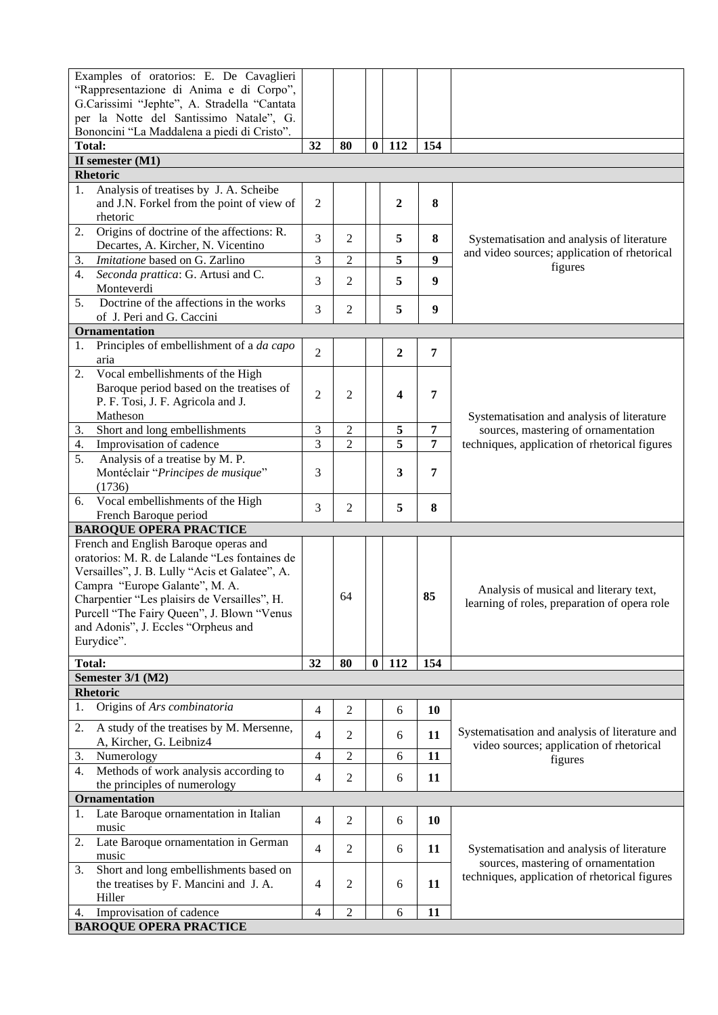| Examples of oratorios: E. De Cavaglieri                                                |                          |                |              |                |                  |                                                |
|----------------------------------------------------------------------------------------|--------------------------|----------------|--------------|----------------|------------------|------------------------------------------------|
| "Rappresentazione di Anima e di Corpo",<br>G.Carissimi "Jephte", A. Stradella "Cantata |                          |                |              |                |                  |                                                |
| per la Notte del Santissimo Natale", G.                                                |                          |                |              |                |                  |                                                |
| Bononcini "La Maddalena a piedi di Cristo".                                            |                          |                |              |                |                  |                                                |
| <b>Total:</b>                                                                          | 32                       | 80             | $\mathbf{0}$ | 112            | 154              |                                                |
| II semester (M1)                                                                       |                          |                |              |                |                  |                                                |
| <b>Rhetoric</b>                                                                        |                          |                |              |                |                  |                                                |
| Analysis of treatises by J. A. Scheibe<br>1.                                           |                          |                |              |                |                  |                                                |
| and J.N. Forkel from the point of view of                                              | $\mathfrak{2}$           |                |              | $\overline{2}$ | 8                |                                                |
| rhetoric<br>Origins of doctrine of the affections: R.                                  |                          |                |              |                |                  |                                                |
| 2.<br>Decartes, A. Kircher, N. Vicentino                                               | 3                        | 2              |              | 5              | 8                | Systematisation and analysis of literature     |
| Imitatione based on G. Zarlino<br>3.                                                   | 3                        | $\overline{2}$ |              | 5              | $\boldsymbol{9}$ | and video sources; application of rhetorical   |
| Seconda prattica: G. Artusi and C.<br>4.                                               |                          |                |              |                |                  | figures                                        |
| Monteverdi                                                                             | 3                        | 2              |              | 5              | $\boldsymbol{9}$ |                                                |
| Doctrine of the affections in the works<br>5 <sub>1</sub>                              | 3                        | 2              |              | 5              | $\boldsymbol{9}$ |                                                |
| of J. Peri and G. Caccini                                                              |                          |                |              |                |                  |                                                |
| <b>Ornamentation</b>                                                                   |                          |                |              |                |                  |                                                |
| Principles of embellishment of a da capo<br>1.                                         | $\overline{2}$           |                |              | $\overline{2}$ | $\overline{7}$   |                                                |
| aria                                                                                   |                          |                |              |                |                  |                                                |
| Vocal embellishments of the High<br>2.<br>Baroque period based on the treatises of     |                          |                |              |                |                  |                                                |
| P. F. Tosi, J. F. Agricola and J.                                                      | $\overline{2}$           | 2              |              | 4              | 7                |                                                |
| Matheson                                                                               |                          |                |              |                |                  | Systematisation and analysis of literature     |
| Short and long embellishments<br>3.                                                    | $\mathfrak{Z}$           | $\mathbf{2}$   |              | 5              | $\overline{7}$   | sources, mastering of ornamentation            |
| Improvisation of cadence<br>4.                                                         | 3                        | $\overline{2}$ |              | 5              | 7                | techniques, application of rhetorical figures  |
| Analysis of a treatise by M. P.<br>5.                                                  |                          |                |              |                |                  |                                                |
| Montéclair "Principes de musique"                                                      | 3                        |                |              | 3              | 7                |                                                |
| (1736)                                                                                 |                          |                |              |                |                  |                                                |
| Vocal embellishments of the High<br>6.                                                 | 3                        | 2              |              | 5              | 8                |                                                |
| French Baroque period                                                                  |                          |                |              |                |                  |                                                |
| <b>BAROQUE OPERA PRACTICE</b><br>French and English Baroque operas and                 |                          |                |              |                |                  |                                                |
| oratorios: M. R. de Lalande "Les fontaines de                                          |                          |                |              |                |                  |                                                |
| Versailles", J. B. Lully "Acis et Galatee", A.                                         |                          |                |              |                |                  |                                                |
| Campra "Europe Galante", M. A.                                                         |                          |                |              |                |                  | Analysis of musical and literary text,         |
| Charpentier "Les plaisirs de Versailles", H.                                           |                          | 64             |              |                | 85               | learning of roles, preparation of opera role   |
| Purcell "The Fairy Queen", J. Blown "Venus                                             |                          |                |              |                |                  |                                                |
| and Adonis", J. Eccles "Orpheus and                                                    |                          |                |              |                |                  |                                                |
| Eurydice".                                                                             |                          |                |              |                |                  |                                                |
| <b>Total:</b>                                                                          | 32                       | 80             | $\bf{0}$     | 112            | 154              |                                                |
| Semester 3/1 (M2)                                                                      |                          |                |              |                |                  |                                                |
| <b>Rhetoric</b>                                                                        |                          |                |              |                |                  |                                                |
| Origins of Ars combinatoria<br>1.                                                      | $\overline{4}$           | 2              |              | 6              | 10               |                                                |
| A study of the treatises by M. Mersenne,<br>2.                                         |                          |                |              |                |                  | Systematisation and analysis of literature and |
| A, Kircher, G. Leibniz4                                                                | $\overline{4}$           | 2              |              | 6              | 11               | video sources; application of rhetorical       |
| Numerology<br>3.                                                                       | $\overline{\mathcal{A}}$ | $\overline{c}$ |              | 6              | 11               | figures                                        |
| Methods of work analysis according to<br>4.                                            | $\overline{4}$           | 2              |              | 6              | 11               |                                                |
| the principles of numerology                                                           |                          |                |              |                |                  |                                                |
| Ornamentation                                                                          |                          |                |              |                |                  |                                                |
| Late Baroque ornamentation in Italian<br>1.<br>music                                   | $\overline{4}$           | 2              |              | 6              | 10               |                                                |
| Late Baroque ornamentation in German<br>2.                                             |                          |                |              |                |                  |                                                |
| music                                                                                  | $\overline{4}$           | $\overline{2}$ |              | 6              | 11               | Systematisation and analysis of literature     |
| Short and long embellishments based on<br>3.                                           |                          |                |              |                |                  | sources, mastering of ornamentation            |
| the treatises by F. Mancini and J. A.                                                  | 4                        | 2              |              | 6              | 11               | techniques, application of rhetorical figures  |
| Hiller                                                                                 |                          |                |              |                |                  |                                                |
| Improvisation of cadence<br>4.                                                         | $\overline{\mathcal{A}}$ | 2              |              | 6              | 11               |                                                |
| <b>BAROQUE OPERA PRACTICE</b>                                                          |                          |                |              |                |                  |                                                |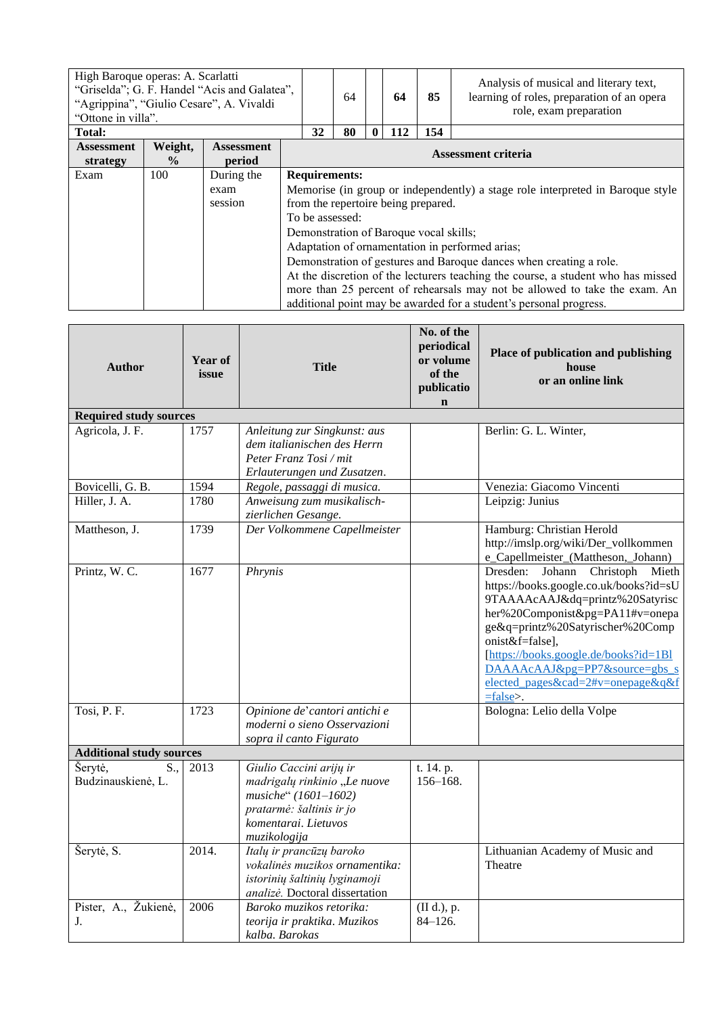| High Baroque operas: A. Scarlatti<br>"Griselda"; G. F. Handel "Acis and Galatea",<br>"Agrippina", "Giulio Cesare", A. Vivaldi<br>"Ottone in villa". |                          |                               |                     | 64 |                                         | 64           | 85                                                                            |     | Analysis of musical and literary text,<br>learning of roles, preparation of an opera<br>role, exam preparation |                                                                                                                                                                                                                                                                                                                                                                                                                                                 |
|-----------------------------------------------------------------------------------------------------------------------------------------------------|--------------------------|-------------------------------|---------------------|----|-----------------------------------------|--------------|-------------------------------------------------------------------------------|-----|----------------------------------------------------------------------------------------------------------------|-------------------------------------------------------------------------------------------------------------------------------------------------------------------------------------------------------------------------------------------------------------------------------------------------------------------------------------------------------------------------------------------------------------------------------------------------|
| <b>Total:</b>                                                                                                                                       |                          |                               |                     | 32 | 80                                      | $\mathbf{0}$ | 112                                                                           | 154 |                                                                                                                |                                                                                                                                                                                                                                                                                                                                                                                                                                                 |
| <b>Assessment</b><br>strategy                                                                                                                       | Weight,<br>$\frac{0}{0}$ | <b>Assessment</b><br>period   | Assessment criteria |    |                                         |              |                                                                               |     |                                                                                                                |                                                                                                                                                                                                                                                                                                                                                                                                                                                 |
| Exam                                                                                                                                                | 100                      | During the<br>exam<br>session |                     |    | <b>Requirements:</b><br>To be assessed: |              | from the repertoire being prepared.<br>Demonstration of Baroque vocal skills; |     |                                                                                                                | Memorise (in group or independently) a stage role interpreted in Baroque style<br>Adaptation of ornamentation in performed arias;<br>Demonstration of gestures and Baroque dances when creating a role.<br>At the discretion of the lecturers teaching the course, a student who has missed<br>more than 25 percent of rehearsals may not be allowed to take the exam. An<br>additional point may be awarded for a student's personal progress. |

| <b>Author</b>                        | Year of<br>issue | <b>Title</b>                                                                                                                                        | No. of the<br>periodical<br>or volume<br>of the<br>publicatio<br>$\mathbf n$ | Place of publication and publishing<br>house<br>or an online link                                                                                                                                                                                                                                                                                 |
|--------------------------------------|------------------|-----------------------------------------------------------------------------------------------------------------------------------------------------|------------------------------------------------------------------------------|---------------------------------------------------------------------------------------------------------------------------------------------------------------------------------------------------------------------------------------------------------------------------------------------------------------------------------------------------|
| <b>Required study sources</b>        |                  |                                                                                                                                                     |                                                                              |                                                                                                                                                                                                                                                                                                                                                   |
| Agricola, J. F.                      | 1757             | Anleitung zur Singkunst: aus<br>dem italianischen des Herrn<br>Peter Franz Tosi / mit<br>Erlauterungen und Zusatzen.                                |                                                                              | Berlin: G. L. Winter,                                                                                                                                                                                                                                                                                                                             |
| Bovicelli, G. B.                     | 1594             | Regole, passaggi di musica.                                                                                                                         |                                                                              | Venezia: Giacomo Vincenti                                                                                                                                                                                                                                                                                                                         |
| Hiller, J. A.                        | 1780             | Anweisung zum musikalisch-<br>zierlichen Gesange.                                                                                                   |                                                                              | Leipzig: Junius                                                                                                                                                                                                                                                                                                                                   |
| Mattheson, J.                        | 1739             | Der Volkommene Capellmeister                                                                                                                        |                                                                              | Hamburg: Christian Herold<br>http://imslp.org/wiki/Der_vollkommen<br>e_Capellmeister_(Mattheson,_Johann)                                                                                                                                                                                                                                          |
| Printz, W. C.                        | 1677             | Phrynis                                                                                                                                             |                                                                              | Dresden:<br>Johann<br>Christoph<br>Mieth<br>https://books.google.co.uk/books?id=sU<br>9TAAAAcAAJ&dq=printz%20Satyrisc<br>her%20Componist&pg=PA11#v=onepa<br>ge&q=printz%20Satyrischer%20Comp<br>onist&f=false],<br>[https://books.google.de/books?id=1Bl<br>DAAAAcAAJ&pg=PP7&source=gbs_s<br>elected_pages&cad=2#v=onepage&q&f<br>$=$ false $>$ . |
| Tosi, P. F.                          | 1723             | Opinione de' cantori antichi e<br>moderni o sieno Osservazioni<br>sopra il canto Figurato                                                           |                                                                              | Bologna: Lelio della Volpe                                                                                                                                                                                                                                                                                                                        |
| <b>Additional study sources</b>      |                  |                                                                                                                                                     |                                                                              |                                                                                                                                                                                                                                                                                                                                                   |
| Šerytė,<br>S.,<br>Budzinauskienė, L. | 2013             | Giulio Caccini arijų ir<br>madrigalų rinkinio "Le nuove<br>musiche" (1601-1602)<br>pratarmė: šaltinis ir jo<br>komentarai. Lietuvos<br>muzikologija | $\overline{t}$ . 14. p.<br>$156 - 168.$                                      |                                                                                                                                                                                                                                                                                                                                                   |
| Šerytė, S.                           | 2014.            | Italų ir prancūzų baroko<br>vokalinės muzikos ornamentika:<br>istorinių šaltinių lyginamoji<br>analizė. Doctoral dissertation                       |                                                                              | Lithuanian Academy of Music and<br>Theatre                                                                                                                                                                                                                                                                                                        |
| Pister, A., Žukienė,<br>J.           | 2006             | Baroko muzikos retorika:<br>teorija ir praktika. Muzikos<br>kalba. Barokas                                                                          | (II d.), p.<br>$84 - 126.$                                                   |                                                                                                                                                                                                                                                                                                                                                   |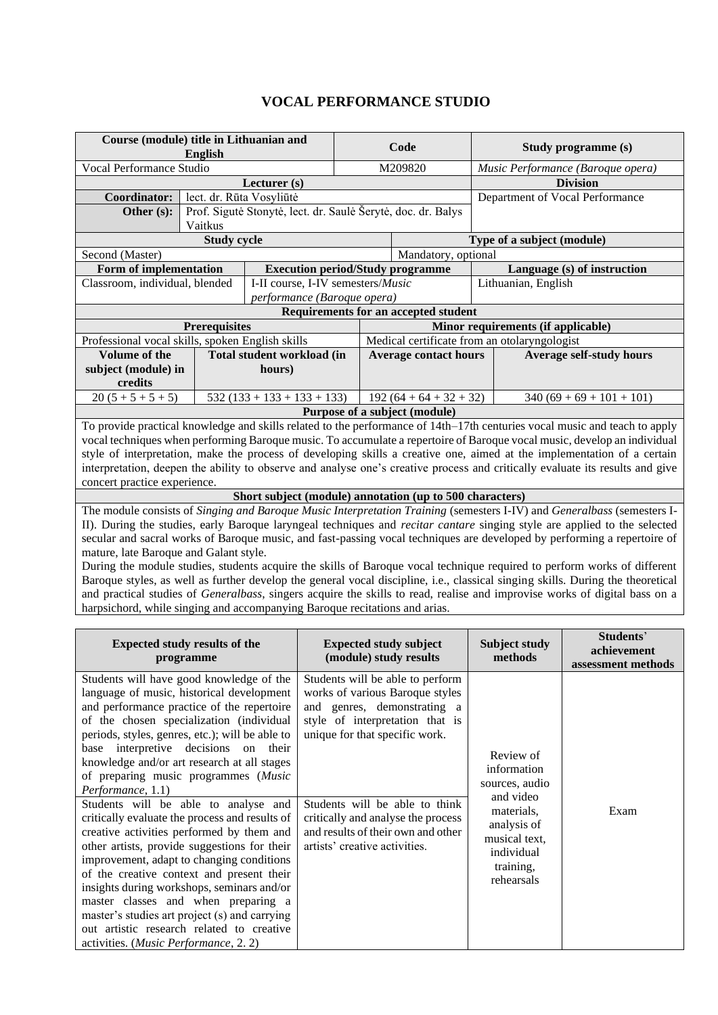# **VOCAL PERFORMANCE STUDIO**

<span id="page-7-0"></span>

| Course (module) title in Lithuanian and<br>English                                   |                                                                                 |                                                                  |                               | Code |                                                          |  | Study programme (s)                |                                                                                                                                  |  |
|--------------------------------------------------------------------------------------|---------------------------------------------------------------------------------|------------------------------------------------------------------|-------------------------------|------|----------------------------------------------------------|--|------------------------------------|----------------------------------------------------------------------------------------------------------------------------------|--|
| Vocal Performance Studio                                                             |                                                                                 |                                                                  |                               |      | M209820                                                  |  | Music Performance (Baroque opera)  |                                                                                                                                  |  |
|                                                                                      |                                                                                 | Lecturer (s)                                                     |                               |      |                                                          |  |                                    | <b>Division</b>                                                                                                                  |  |
|                                                                                      | lect. dr. Rūta Vosyliūtė<br>Coordinator:                                        |                                                                  |                               |      |                                                          |  |                                    | Department of Vocal Performance                                                                                                  |  |
| Prof. Sigutė Stonytė, lect. dr. Saulė Šerytė, doc. dr. Balys<br>Other (s):           |                                                                                 |                                                                  |                               |      |                                                          |  |                                    |                                                                                                                                  |  |
|                                                                                      | Vaitkus                                                                         |                                                                  |                               |      |                                                          |  |                                    |                                                                                                                                  |  |
|                                                                                      | <b>Study cycle</b>                                                              |                                                                  |                               |      |                                                          |  | Type of a subject (module)         |                                                                                                                                  |  |
| Second (Master)                                                                      |                                                                                 |                                                                  |                               |      | Mandatory, optional                                      |  |                                    |                                                                                                                                  |  |
| Form of implementation                                                               |                                                                                 |                                                                  |                               |      | <b>Execution period/Study programme</b>                  |  |                                    | Language (s) of instruction                                                                                                      |  |
| Classroom, individual, blended                                                       |                                                                                 | I-II course, I-IV semesters/Music<br>performance (Baroque opera) |                               |      |                                                          |  | Lithuanian, English                |                                                                                                                                  |  |
|                                                                                      |                                                                                 |                                                                  |                               |      | Requirements for an accepted student                     |  |                                    |                                                                                                                                  |  |
|                                                                                      | <b>Prerequisites</b>                                                            |                                                                  |                               |      |                                                          |  | Minor requirements (if applicable) |                                                                                                                                  |  |
| Professional vocal skills, spoken English skills                                     |                                                                                 |                                                                  |                               |      | Medical certificate from an otolaryngologist             |  |                                    |                                                                                                                                  |  |
| Volume of the                                                                        |                                                                                 | Total student workload (in                                       |                               |      | <b>Average contact hours</b>                             |  |                                    | <b>Average self-study hours</b>                                                                                                  |  |
| subject (module) in                                                                  |                                                                                 | hours)                                                           |                               |      |                                                          |  |                                    |                                                                                                                                  |  |
| credits                                                                              |                                                                                 |                                                                  |                               |      |                                                          |  |                                    |                                                                                                                                  |  |
| $20(5+5+5+5)$                                                                        |                                                                                 | $532(133 + 133 + 133 + 133)$                                     |                               |      | $192(64+64+32+32)$                                       |  |                                    | $340 (69 + 69 + 101 + 101)$                                                                                                      |  |
|                                                                                      |                                                                                 |                                                                  |                               |      | Purpose of a subject (module)                            |  |                                    |                                                                                                                                  |  |
|                                                                                      |                                                                                 |                                                                  |                               |      |                                                          |  |                                    | To provide practical knowledge and skills related to the performance of 14th–17th centuries vocal music and teach to apply       |  |
|                                                                                      |                                                                                 |                                                                  |                               |      |                                                          |  |                                    | vocal techniques when performing Baroque music. To accumulate a repertoire of Baroque vocal music, develop an individual         |  |
|                                                                                      |                                                                                 |                                                                  |                               |      |                                                          |  |                                    | style of interpretation, make the process of developing skills a creative one, aimed at the implementation of a certain          |  |
|                                                                                      |                                                                                 |                                                                  |                               |      |                                                          |  |                                    | interpretation, deepen the ability to observe and analyse one's creative process and critically evaluate its results and give    |  |
| concert practice experience.                                                         |                                                                                 |                                                                  |                               |      |                                                          |  |                                    |                                                                                                                                  |  |
|                                                                                      |                                                                                 |                                                                  |                               |      | Short subject (module) annotation (up to 500 characters) |  |                                    |                                                                                                                                  |  |
|                                                                                      |                                                                                 |                                                                  |                               |      |                                                          |  |                                    | The module consists of Singing and Baroque Music Interpretation Training (semesters I-IV) and Generalbass (semesters I-          |  |
|                                                                                      |                                                                                 |                                                                  |                               |      |                                                          |  |                                    | II). During the studies, early Baroque laryngeal techniques and <i>recitar cantare</i> singing style are applied to the selected |  |
|                                                                                      |                                                                                 |                                                                  |                               |      |                                                          |  |                                    | secular and sacral works of Baroque music, and fast-passing vocal techniques are developed by performing a repertoire of         |  |
| mature, late Baroque and Galant style.                                               |                                                                                 |                                                                  |                               |      |                                                          |  |                                    |                                                                                                                                  |  |
|                                                                                      |                                                                                 |                                                                  |                               |      |                                                          |  |                                    | During the module studies, students acquire the skills of Baroque vocal technique required to perform works of different         |  |
|                                                                                      |                                                                                 |                                                                  |                               |      |                                                          |  |                                    | Baroque styles, as well as further develop the general vocal discipline, i.e., classical singing skills. During the theoretical  |  |
|                                                                                      |                                                                                 |                                                                  |                               |      |                                                          |  |                                    | and practical studies of Generalbass, singers acquire the skills to read, realise and improvise works of digital bass on a       |  |
| harpsichord, while singing and accompanying Baroque recitations and arias.           |                                                                                 |                                                                  |                               |      |                                                          |  |                                    |                                                                                                                                  |  |
|                                                                                      |                                                                                 |                                                                  |                               |      |                                                          |  |                                    | Students'                                                                                                                        |  |
| <b>Expected study results of the</b>                                                 |                                                                                 |                                                                  | <b>Expected study subject</b> |      |                                                          |  | <b>Subject study</b>               | achievement                                                                                                                      |  |
|                                                                                      | programme                                                                       |                                                                  |                               |      | (module) study results                                   |  | methods                            | assessment methods                                                                                                               |  |
| Students will have good knowledge of the                                             |                                                                                 |                                                                  |                               |      | Students will be able to perform                         |  |                                    |                                                                                                                                  |  |
| language of music, historical development                                            |                                                                                 |                                                                  |                               |      | works of various Baroque styles                          |  |                                    |                                                                                                                                  |  |
| and performance practice of the repertoire                                           |                                                                                 |                                                                  |                               |      | and genres, demonstrating a                              |  |                                    |                                                                                                                                  |  |
| of the chosen specialization (individual                                             |                                                                                 |                                                                  |                               |      | style of interpretation that is                          |  |                                    |                                                                                                                                  |  |
| periods, styles, genres, etc.); will be able to                                      |                                                                                 |                                                                  |                               |      | unique for that specific work.                           |  |                                    |                                                                                                                                  |  |
| base interpretive decisions on their                                                 |                                                                                 |                                                                  |                               |      |                                                          |  |                                    |                                                                                                                                  |  |
| knowledge and/or art research at all stages                                          |                                                                                 |                                                                  |                               |      |                                                          |  | Review of                          |                                                                                                                                  |  |
| of preparing music programmes (Music                                                 |                                                                                 |                                                                  |                               |      |                                                          |  | information                        |                                                                                                                                  |  |
| Performance, 1.1)                                                                    |                                                                                 |                                                                  |                               |      |                                                          |  | sources, audio                     |                                                                                                                                  |  |
| Students will be able to analyse and                                                 |                                                                                 |                                                                  |                               |      | Students will be able to think                           |  | and video                          |                                                                                                                                  |  |
| critically evaluate the process and results of<br>critically and analyse the process |                                                                                 |                                                                  |                               |      |                                                          |  | materials,                         | Exam                                                                                                                             |  |
|                                                                                      | creative activities performed by them and<br>and results of their own and other |                                                                  |                               |      |                                                          |  | analysis of                        |                                                                                                                                  |  |
| other artists, provide suggestions for their                                         |                                                                                 |                                                                  | artists' creative activities. |      |                                                          |  | musical text,                      |                                                                                                                                  |  |
| improvement, adapt to changing conditions                                            |                                                                                 |                                                                  |                               |      |                                                          |  | individual                         |                                                                                                                                  |  |
| of the creative context and present their                                            |                                                                                 |                                                                  |                               |      |                                                          |  | training,<br>rehearsals            |                                                                                                                                  |  |
| insights during workshops, seminars and/or                                           |                                                                                 |                                                                  |                               |      |                                                          |  |                                    |                                                                                                                                  |  |
| master classes and when preparing a                                                  |                                                                                 |                                                                  |                               |      |                                                          |  |                                    |                                                                                                                                  |  |
| master's studies art project (s) and carrying                                        |                                                                                 |                                                                  |                               |      |                                                          |  |                                    |                                                                                                                                  |  |
| out artistic research related to creative                                            |                                                                                 |                                                                  |                               |      |                                                          |  |                                    |                                                                                                                                  |  |
| activities. (Music Performance, 2.2)                                                 |                                                                                 |                                                                  |                               |      |                                                          |  |                                    |                                                                                                                                  |  |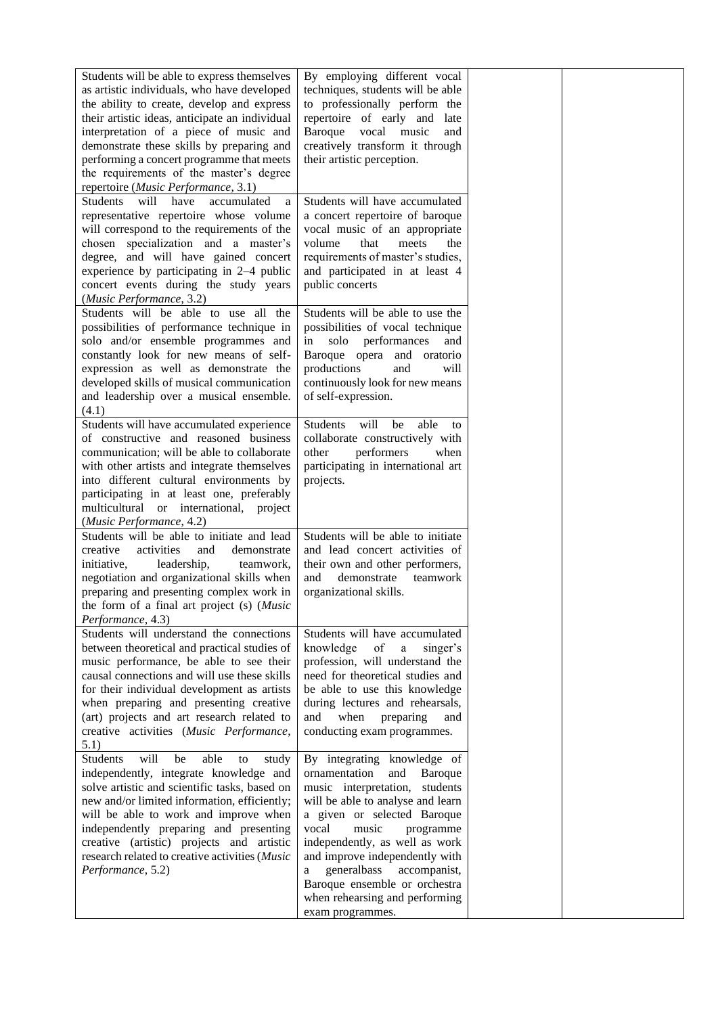| Students will be able to express themselves<br>as artistic individuals, who have developed<br>the ability to create, develop and express<br>their artistic ideas, anticipate an individual<br>interpretation of a piece of music and<br>demonstrate these skills by preparing and<br>performing a concert programme that meets<br>the requirements of the master's degree<br>repertoire (Music Performance, 3.1) | By employing different vocal<br>techniques, students will be able<br>to professionally perform the<br>repertoire of early and late<br>Baroque<br>vocal<br>music<br>and<br>creatively transform it through<br>their artistic perception.                                                                                                                                                            |  |
|------------------------------------------------------------------------------------------------------------------------------------------------------------------------------------------------------------------------------------------------------------------------------------------------------------------------------------------------------------------------------------------------------------------|----------------------------------------------------------------------------------------------------------------------------------------------------------------------------------------------------------------------------------------------------------------------------------------------------------------------------------------------------------------------------------------------------|--|
| Students will have<br>accumulated<br>$\mathbf{a}$<br>representative repertoire whose volume<br>will correspond to the requirements of the<br>chosen specialization and a master's<br>degree, and will have gained concert<br>experience by participating in 2-4 public<br>concert events during the study years<br>(Music Performance, 3.2)                                                                      | Students will have accumulated<br>a concert repertoire of baroque<br>vocal music of an appropriate<br>volume<br>that<br>meets<br>the<br>requirements of master's studies,<br>and participated in at least 4<br>public concerts                                                                                                                                                                     |  |
| Students will be able to use all the<br>possibilities of performance technique in<br>solo and/or ensemble programmes and<br>constantly look for new means of self-<br>expression as well as demonstrate the<br>developed skills of musical communication<br>and leadership over a musical ensemble.<br>(4.1)                                                                                                     | Students will be able to use the<br>possibilities of vocal technique<br>solo performances<br>in<br>and<br>Baroque opera and oratorio<br>productions<br>and<br>will<br>continuously look for new means<br>of self-expression.                                                                                                                                                                       |  |
| Students will have accumulated experience<br>of constructive and reasoned business<br>communication; will be able to collaborate<br>with other artists and integrate themselves<br>into different cultural environments by<br>participating in at least one, preferably<br>multicultural or international, project<br>(Music Performance, 4.2)                                                                   | be<br><b>Students</b><br>will<br>able to<br>collaborate constructively with<br>other<br>performers<br>when<br>participating in international art<br>projects.                                                                                                                                                                                                                                      |  |
| Students will be able to initiate and lead<br>creative<br>activities<br>and<br>demonstrate<br>leadership,<br>initiative,<br>teamwork,<br>negotiation and organizational skills when<br>preparing and presenting complex work in<br>the form of a final art project (s) (Music<br>Performance, 4.3)                                                                                                               | Students will be able to initiate<br>and lead concert activities of<br>their own and other performers,<br>and<br>demonstrate teamwork<br>organizational skills.                                                                                                                                                                                                                                    |  |
| Students will understand the connections<br>between theoretical and practical studies of<br>music performance, be able to see their<br>causal connections and will use these skills<br>for their individual development as artists<br>when preparing and presenting creative<br>(art) projects and art research related to<br>creative activities (Music Performance,<br>5.1)                                    | Students will have accumulated<br>knowledge<br>of<br>$\rm{a}$<br>singer's<br>profession, will understand the<br>need for theoretical studies and<br>be able to use this knowledge<br>during lectures and rehearsals,<br>when<br>preparing<br>and<br>and<br>conducting exam programmes.                                                                                                             |  |
| will<br>able<br>Students<br>be<br>to<br>study<br>independently, integrate knowledge and<br>solve artistic and scientific tasks, based on<br>new and/or limited information, efficiently;<br>will be able to work and improve when<br>independently preparing and presenting<br>creative (artistic) projects and artistic<br>research related to creative activities (Music<br>Performance, 5.2)                  | By integrating knowledge of<br>ornamentation<br>and<br>Baroque<br>music interpretation, students<br>will be able to analyse and learn<br>a given or selected Baroque<br>vocal<br>music<br>programme<br>independently, as well as work<br>and improve independently with<br>generalbass<br>accompanist,<br>a<br>Baroque ensemble or orchestra<br>when rehearsing and performing<br>exam programmes. |  |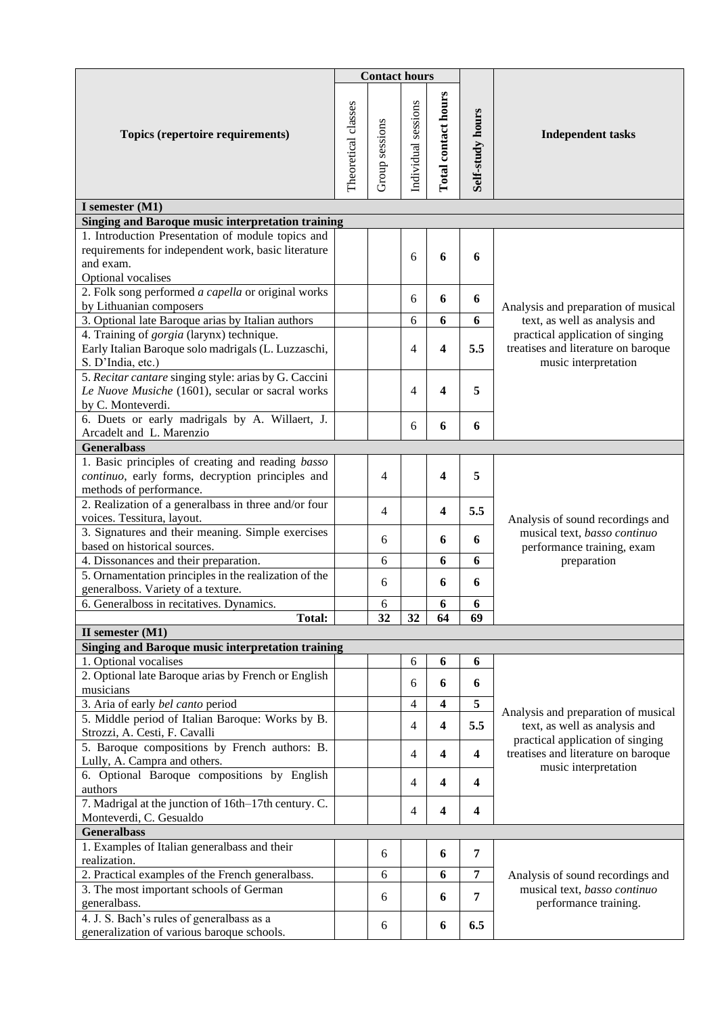|                                                                                                                                             |                     | <b>Contact hours</b> |                     |                     |                  |                                                                                                 |  |  |
|---------------------------------------------------------------------------------------------------------------------------------------------|---------------------|----------------------|---------------------|---------------------|------------------|-------------------------------------------------------------------------------------------------|--|--|
| Topics (repertoire requirements)                                                                                                            | Theoretical classes | Group sessions       | Individual sessions | Total contact hours | Self-study hours | <b>Independent tasks</b>                                                                        |  |  |
| I semester (M1)                                                                                                                             |                     |                      |                     |                     |                  |                                                                                                 |  |  |
| Singing and Baroque music interpretation training                                                                                           |                     |                      |                     |                     |                  |                                                                                                 |  |  |
| 1. Introduction Presentation of module topics and<br>requirements for independent work, basic literature<br>and exam.<br>Optional vocalises |                     |                      | 6                   | 6                   | 6                |                                                                                                 |  |  |
| 2. Folk song performed a capella or original works<br>by Lithuanian composers                                                               |                     |                      | 6                   | 6                   | 6                | Analysis and preparation of musical                                                             |  |  |
| 3. Optional late Baroque arias by Italian authors                                                                                           |                     |                      | 6                   | 6                   | 6                | text, as well as analysis and                                                                   |  |  |
| 4. Training of gorgia (larynx) technique.<br>Early Italian Baroque solo madrigals (L. Luzzaschi,<br>S. D'India, etc.)                       |                     |                      | 4                   | 4                   | 5.5              | practical application of singing<br>treatises and literature on baroque<br>music interpretation |  |  |
| 5. Recitar cantare singing style: arias by G. Caccini<br>Le Nuove Musiche (1601), secular or sacral works<br>by C. Monteverdi.              |                     |                      | 4                   | 4                   | 5                |                                                                                                 |  |  |
| 6. Duets or early madrigals by A. Willaert, J.<br>Arcadelt and L. Marenzio                                                                  |                     |                      | 6                   | 6                   | 6                |                                                                                                 |  |  |
| <b>Generalbass</b>                                                                                                                          |                     |                      |                     |                     |                  |                                                                                                 |  |  |
| 1. Basic principles of creating and reading basso<br>continuo, early forms, decryption principles and<br>methods of performance.            |                     | 4                    |                     | 4                   | 5                |                                                                                                 |  |  |
| 2. Realization of a generalbass in three and/or four<br>voices. Tessitura, layout.                                                          |                     | 4                    |                     | 4                   | 5.5              | Analysis of sound recordings and                                                                |  |  |
| 3. Signatures and their meaning. Simple exercises<br>based on historical sources.                                                           |                     | 6                    |                     | 6                   | 6                | musical text, basso continuo<br>performance training, exam                                      |  |  |
| 4. Dissonances and their preparation.                                                                                                       |                     | 6                    |                     | 6                   | 6                | preparation                                                                                     |  |  |
| 5. Ornamentation principles in the realization of the<br>generalboss. Variety of a texture.                                                 |                     | 6                    |                     | 6                   | 6                |                                                                                                 |  |  |
| 6. Generalboss in recitatives. Dynamics.                                                                                                    |                     | 6                    |                     | 6                   | 6                |                                                                                                 |  |  |
| <b>Total:</b>                                                                                                                               |                     | 32                   | 32                  | 64                  | 69               |                                                                                                 |  |  |
| II semester (M1)<br><b>Singing and Baroque music interpretation training</b>                                                                |                     |                      |                     |                     |                  |                                                                                                 |  |  |
| 1. Optional vocalises                                                                                                                       |                     |                      | 6                   | 6                   | 6                |                                                                                                 |  |  |
| 2. Optional late Baroque arias by French or English<br>musicians                                                                            |                     |                      | 6                   | 6                   | 6                |                                                                                                 |  |  |
| 3. Aria of early bel canto period                                                                                                           |                     |                      | 4                   | 4                   | 5                |                                                                                                 |  |  |
| 5. Middle period of Italian Baroque: Works by B.<br>Strozzi, A. Cesti, F. Cavalli                                                           |                     |                      | 4                   | 4                   | 5.5              | Analysis and preparation of musical<br>text, as well as analysis and                            |  |  |
| 5. Baroque compositions by French authors: B.<br>Lully, A. Campra and others.                                                               |                     |                      | 4                   | 4                   | 4                | practical application of singing<br>treatises and literature on baroque                         |  |  |
| 6. Optional Baroque compositions by English<br>authors                                                                                      |                     |                      | 4                   | 4                   | 4                | music interpretation                                                                            |  |  |
| 7. Madrigal at the junction of 16th-17th century. C.<br>Monteverdi, C. Gesualdo                                                             |                     |                      | 4                   | 4                   | 4                |                                                                                                 |  |  |
| <b>Generalbass</b>                                                                                                                          |                     |                      |                     |                     |                  |                                                                                                 |  |  |
| 1. Examples of Italian generalbass and their<br>realization.                                                                                |                     | 6                    |                     | 6                   | 7                |                                                                                                 |  |  |
| 2. Practical examples of the French generalbass.                                                                                            |                     | 6                    |                     | 6                   | 7                | Analysis of sound recordings and                                                                |  |  |
| 3. The most important schools of German<br>generalbass.                                                                                     |                     | 6                    |                     | 6                   | 7                | musical text, basso continuo<br>performance training.                                           |  |  |
| 4. J. S. Bach's rules of generalbass as a<br>generalization of various baroque schools.                                                     |                     | 6                    |                     | 6                   | 6.5              |                                                                                                 |  |  |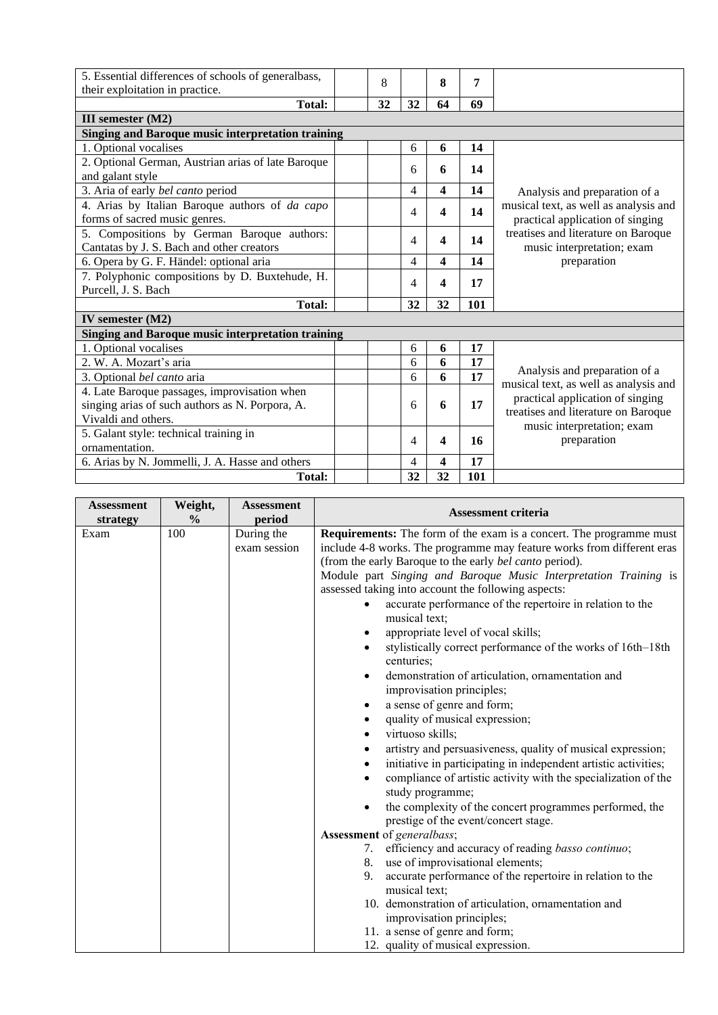| 5. Essential differences of schools of generalbass,      |    |    |    |     |                                                                         |  |  |
|----------------------------------------------------------|----|----|----|-----|-------------------------------------------------------------------------|--|--|
| their exploitation in practice.                          | 8  |    | 8  | 7   |                                                                         |  |  |
| Total:                                                   | 32 | 32 | 64 | 69  |                                                                         |  |  |
| III semester (M2)                                        |    |    |    |     |                                                                         |  |  |
| <b>Singing and Baroque music interpretation training</b> |    |    |    |     |                                                                         |  |  |
| 1. Optional vocalises                                    |    | 6  | 6  | 14  |                                                                         |  |  |
| 2. Optional German, Austrian arias of late Baroque       |    | 6  | 6  | 14  |                                                                         |  |  |
| and galant style                                         |    |    |    |     |                                                                         |  |  |
| 3. Aria of early bel canto period                        |    | 4  | 4  | 14  | Analysis and preparation of a                                           |  |  |
| 4. Arias by Italian Baroque authors of da capo           |    | 4  | 4  | 14  | musical text, as well as analysis and                                   |  |  |
| forms of sacred music genres.                            |    |    |    |     | practical application of singing                                        |  |  |
| 5. Compositions by German Baroque authors:               |    | 4  | 4  | 14  | treatises and literature on Baroque                                     |  |  |
| Cantatas by J. S. Bach and other creators                |    |    |    |     | music interpretation; exam                                              |  |  |
| 6. Opera by G. F. Händel: optional aria                  |    | 4  | 4  | 14  | preparation                                                             |  |  |
| 7. Polyphonic compositions by D. Buxtehude, H.           |    |    | 4  | 17  |                                                                         |  |  |
| Purcell, J. S. Bach                                      |    | 4  |    |     |                                                                         |  |  |
| Total:                                                   |    | 32 | 32 | 101 |                                                                         |  |  |
| IV semester $(M2)$                                       |    |    |    |     |                                                                         |  |  |
| <b>Singing and Baroque music interpretation training</b> |    |    |    |     |                                                                         |  |  |
| 1. Optional vocalises                                    |    | 6  | 6  | 17  |                                                                         |  |  |
| 2. W. A. Mozart's aria                                   |    | 6  | 6  | 17  |                                                                         |  |  |
| 3. Optional <i>bel canto</i> aria                        |    | 6  | 6  | 17  | Analysis and preparation of a                                           |  |  |
| 4. Late Baroque passages, improvisation when             |    |    |    |     | musical text, as well as analysis and                                   |  |  |
| singing arias of such authors as N. Porpora, A.          |    | 6  | 6  | 17  | practical application of singing<br>treatises and literature on Baroque |  |  |
| Vivaldi and others.                                      |    |    |    |     | music interpretation; exam                                              |  |  |
| 5. Galant style: technical training in                   |    | 4  | 4  | 16  | preparation                                                             |  |  |
| ornamentation.                                           |    |    |    |     |                                                                         |  |  |
| 6. Arias by N. Jommelli, J. A. Hasse and others          |    | 4  | 4  | 17  |                                                                         |  |  |
| <b>Total:</b>                                            |    | 32 | 32 | 101 |                                                                         |  |  |

| <b>Assessment</b><br>strategy | Weight,<br>$\frac{6}{9}$ | <b>Assessment</b><br>period | <b>Assessment criteria</b>                                                                                                                                                                                                                                                                                                                                                                                                                                                                                                                                                                                                                                                                                                                                                                                                                                                                                                                                                                                                                                                                                                     |
|-------------------------------|--------------------------|-----------------------------|--------------------------------------------------------------------------------------------------------------------------------------------------------------------------------------------------------------------------------------------------------------------------------------------------------------------------------------------------------------------------------------------------------------------------------------------------------------------------------------------------------------------------------------------------------------------------------------------------------------------------------------------------------------------------------------------------------------------------------------------------------------------------------------------------------------------------------------------------------------------------------------------------------------------------------------------------------------------------------------------------------------------------------------------------------------------------------------------------------------------------------|
| Exam                          | 100                      | During the<br>exam session  | <b>Requirements:</b> The form of the exam is a concert. The programme must<br>include 4-8 works. The programme may feature works from different eras<br>(from the early Baroque to the early bel canto period).<br>Module part Singing and Baroque Music Interpretation Training is<br>assessed taking into account the following aspects:<br>accurate performance of the repertoire in relation to the<br>musical text;<br>appropriate level of vocal skills;<br>$\bullet$<br>stylistically correct performance of the works of 16th-18th<br>centuries;<br>demonstration of articulation, ornamentation and<br>$\bullet$<br>improvisation principles;<br>a sense of genre and form;<br>$\bullet$<br>quality of musical expression;<br>$\bullet$<br>virtuoso skills;<br>artistry and persuasiveness, quality of musical expression;<br>$\bullet$<br>initiative in participating in independent artistic activities;<br>٠<br>compliance of artistic activity with the specialization of the<br>$\bullet$<br>study programme;<br>the complexity of the concert programmes performed, the<br>prestige of the event/concert stage. |
|                               |                          |                             | Assessment of generalbass;                                                                                                                                                                                                                                                                                                                                                                                                                                                                                                                                                                                                                                                                                                                                                                                                                                                                                                                                                                                                                                                                                                     |
|                               |                          |                             | efficiency and accuracy of reading basso continuo;<br>7.<br>use of improvisational elements;<br>8.<br>accurate performance of the repertoire in relation to the<br>9.<br>musical text;<br>10. demonstration of articulation, ornamentation and<br>improvisation principles;<br>11. a sense of genre and form;<br>12. quality of musical expression.                                                                                                                                                                                                                                                                                                                                                                                                                                                                                                                                                                                                                                                                                                                                                                            |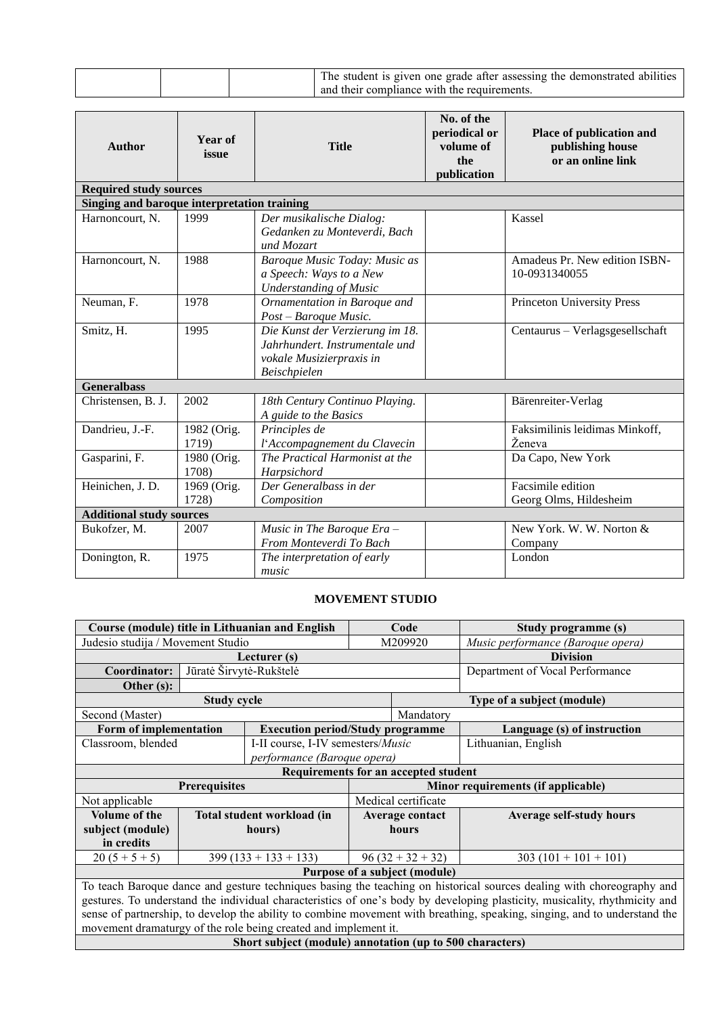| The student is given one grade after assessing the demonstrated abilities<br>and their compliance with the requirements. |
|--------------------------------------------------------------------------------------------------------------------------|
|--------------------------------------------------------------------------------------------------------------------------|

| <b>Author</b>                               | Year of<br>issue     | <b>Title</b>                                                                                                  | No. of the<br>periodical or<br>volume of<br>the<br>publication | Place of publication and<br>publishing house<br>or an online link |  |  |  |  |  |  |
|---------------------------------------------|----------------------|---------------------------------------------------------------------------------------------------------------|----------------------------------------------------------------|-------------------------------------------------------------------|--|--|--|--|--|--|
| <b>Required study sources</b>               |                      |                                                                                                               |                                                                |                                                                   |  |  |  |  |  |  |
| Singing and baroque interpretation training |                      |                                                                                                               |                                                                |                                                                   |  |  |  |  |  |  |
| Harnoncourt, N.                             | 1999                 | Der musikalische Dialog:<br>Gedanken zu Monteverdi, Bach<br>und Mozart                                        |                                                                | Kassel                                                            |  |  |  |  |  |  |
| Harnoncourt, N.                             | 1988                 | Baroque Music Today: Music as<br>a Speech: Ways to a New<br><b>Understanding of Music</b>                     |                                                                | Amadeus Pr. New edition ISBN-<br>10-0931340055                    |  |  |  |  |  |  |
| Neuman, F.                                  | 1978                 | Ornamentation in Baroque and<br>Post - Baroque Music.                                                         |                                                                | Princeton University Press                                        |  |  |  |  |  |  |
| Smitz, H.                                   | 1995                 | Die Kunst der Verzierung im 18.<br>Jahrhundert, Instrumentale und<br>vokale Musizierpraxis in<br>Beischpielen |                                                                | Centaurus - Verlagsgesellschaft                                   |  |  |  |  |  |  |
| <b>Generalbass</b>                          |                      |                                                                                                               |                                                                |                                                                   |  |  |  |  |  |  |
| Christensen, B. J.                          | 2002                 | 18th Century Continuo Playing.<br>A guide to the Basics                                                       |                                                                | Bärenreiter-Verlag                                                |  |  |  |  |  |  |
| Dandrieu, J.-F.                             | 1982 (Orig.<br>1719) | Principles de<br>l'Accompagnement du Clavecin                                                                 |                                                                | Faksimilinis leidimas Minkoff,<br>Ženeva                          |  |  |  |  |  |  |
| Gasparini, F.                               | 1980 (Orig.<br>1708) | The Practical Harmonist at the<br>Harpsichord                                                                 |                                                                | Da Capo, New York                                                 |  |  |  |  |  |  |
| Heinichen, J. D.                            | 1969 (Orig.<br>1728) | Der Generalbass in der<br>Composition                                                                         |                                                                | Facsimile edition<br>Georg Olms, Hildesheim                       |  |  |  |  |  |  |
| <b>Additional study sources</b>             |                      |                                                                                                               |                                                                |                                                                   |  |  |  |  |  |  |
| Bukofzer, M.                                | 2007                 | Music in The Baroque $Era -$<br>From Monteverdi To Bach                                                       |                                                                | New York, W. W. Norton &<br>Company                               |  |  |  |  |  |  |
| Donington, R.                               | 1975                 | The interpretation of early<br>music                                                                          |                                                                | London                                                            |  |  |  |  |  |  |

#### **MOVEMENT STUDIO**

<span id="page-11-0"></span>

|                                   |                                                                                                                            | Course (module) title in Lithuanian and English                 | Code    |                                      | Study programme (s)                                                                                                       |
|-----------------------------------|----------------------------------------------------------------------------------------------------------------------------|-----------------------------------------------------------------|---------|--------------------------------------|---------------------------------------------------------------------------------------------------------------------------|
| Judesio studija / Movement Studio |                                                                                                                            |                                                                 | M209920 |                                      | Music performance (Baroque opera)                                                                                         |
|                                   |                                                                                                                            | Lecturer (s)                                                    |         |                                      | <b>Division</b>                                                                                                           |
| Coordinator:                      | Jūratė Širvytė-Rukštelė                                                                                                    |                                                                 |         |                                      | Department of Vocal Performance                                                                                           |
| Other $(s)$ :                     |                                                                                                                            |                                                                 |         |                                      |                                                                                                                           |
|                                   | <b>Study cycle</b>                                                                                                         |                                                                 |         |                                      | Type of a subject (module)                                                                                                |
| Second (Master)                   |                                                                                                                            |                                                                 |         | Mandatory                            |                                                                                                                           |
| Form of implementation            |                                                                                                                            | <b>Execution period/Study programme</b>                         |         |                                      | Language (s) of instruction                                                                                               |
| Classroom, blended                |                                                                                                                            | I-II course, I-IV semesters/Music                               |         |                                      | Lithuanian, English                                                                                                       |
|                                   |                                                                                                                            | performance (Baroque opera)                                     |         |                                      |                                                                                                                           |
|                                   |                                                                                                                            |                                                                 |         | Requirements for an accepted student |                                                                                                                           |
|                                   | <b>Prerequisites</b>                                                                                                       |                                                                 |         |                                      | Minor requirements (if applicable)                                                                                        |
| Not applicable                    |                                                                                                                            |                                                                 |         | Medical certificate                  |                                                                                                                           |
| <b>Volume of the</b>              |                                                                                                                            | Total student workload (in                                      |         | Average contact                      | <b>Average self-study hours</b>                                                                                           |
| subject (module)                  |                                                                                                                            | hours)                                                          |         | hours                                |                                                                                                                           |
| in credits                        |                                                                                                                            |                                                                 |         |                                      |                                                                                                                           |
| $20(5+5+5)$                       |                                                                                                                            | $399(133 + 133 + 133)$                                          |         | $96(32 + 32 + 32)$                   | $303(101 + 101 + 101)$                                                                                                    |
|                                   |                                                                                                                            |                                                                 |         | Purpose of a subject (module)        |                                                                                                                           |
|                                   |                                                                                                                            |                                                                 |         |                                      | To teach Baroque dance and gesture techniques basing the teaching on historical sources dealing with choreography and     |
|                                   | gestures. To understand the individual characteristics of one's body by developing plasticity, musicality, rhythmicity and |                                                                 |         |                                      |                                                                                                                           |
|                                   |                                                                                                                            |                                                                 |         |                                      | sense of partnership, to develop the ability to combine movement with breathing, speaking, singing, and to understand the |
|                                   |                                                                                                                            | movement dramaturgy of the role being created and implement it. |         |                                      |                                                                                                                           |

**Short subject (module) annotation (up to 500 characters)**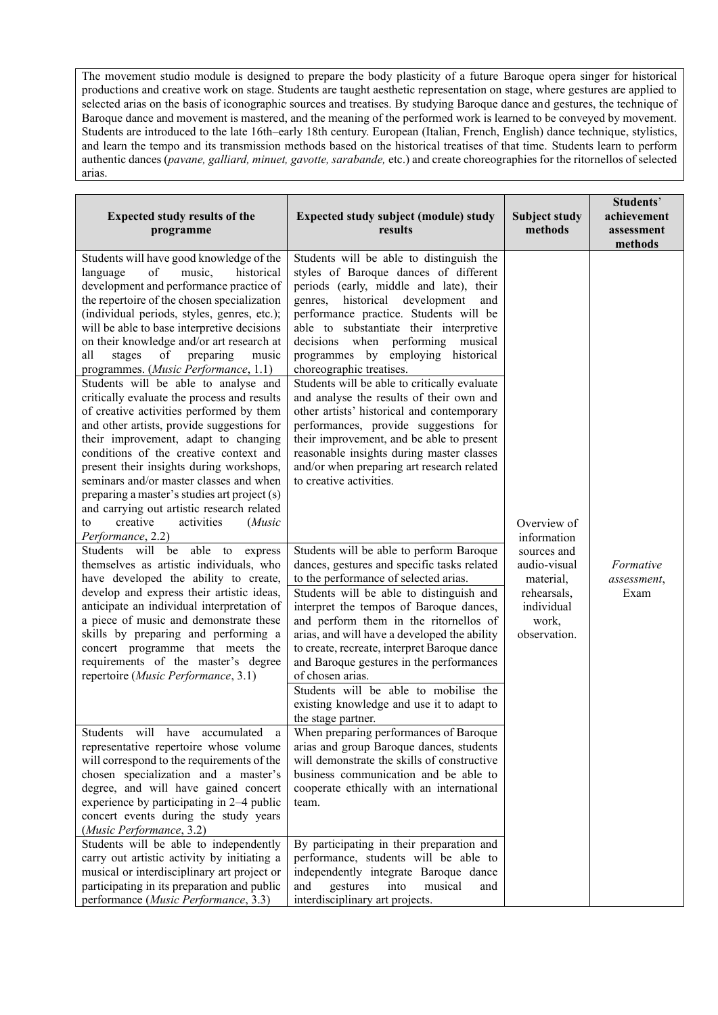The movement studio module is designed to prepare the body plasticity of a future Baroque opera singer for historical productions and creative work on stage. Students are taught aesthetic representation on stage, where gestures are applied to selected arias on the basis of iconographic sources and treatises. By studying Baroque dance and gestures, the technique of Baroque dance and movement is mastered, and the meaning of the performed work is learned to be conveyed by movement. Students are introduced to the late 16th–early 18th century. European (Italian, French, English) dance technique, stylistics, and learn the tempo and its transmission methods based on the historical treatises of that time. Students learn to perform authentic dances (*pavane, galliard, minuet, gavotte, sarabande,* etc.) and create choreographies for the ritornellos of selected arias.

| <b>Expected study results of the</b><br>programme                                                                                                                                                                                                                                                                                                                                                                                                                                                                                                                                                                                                                                                                                                                                                                                                                                                                                                                                                                                                                                                                                                                                                                                                                                                                                                             | Expected study subject (module) study<br>results                                                                                                                                                                                                                                                                                                                                                                                                                                                                                                                                                                                                                                                                                                                                                                                                                                                                                                                                                                                                                                                                                                                                                                                                   | <b>Subject study</b><br>methods                                                                                              | Students'<br>achievement<br>assessment<br>methods |
|---------------------------------------------------------------------------------------------------------------------------------------------------------------------------------------------------------------------------------------------------------------------------------------------------------------------------------------------------------------------------------------------------------------------------------------------------------------------------------------------------------------------------------------------------------------------------------------------------------------------------------------------------------------------------------------------------------------------------------------------------------------------------------------------------------------------------------------------------------------------------------------------------------------------------------------------------------------------------------------------------------------------------------------------------------------------------------------------------------------------------------------------------------------------------------------------------------------------------------------------------------------------------------------------------------------------------------------------------------------|----------------------------------------------------------------------------------------------------------------------------------------------------------------------------------------------------------------------------------------------------------------------------------------------------------------------------------------------------------------------------------------------------------------------------------------------------------------------------------------------------------------------------------------------------------------------------------------------------------------------------------------------------------------------------------------------------------------------------------------------------------------------------------------------------------------------------------------------------------------------------------------------------------------------------------------------------------------------------------------------------------------------------------------------------------------------------------------------------------------------------------------------------------------------------------------------------------------------------------------------------|------------------------------------------------------------------------------------------------------------------------------|---------------------------------------------------|
| Students will have good knowledge of the<br>music,<br>historical<br>language<br>of<br>development and performance practice of<br>the repertoire of the chosen specialization<br>(individual periods, styles, genres, etc.);<br>will be able to base interpretive decisions<br>on their knowledge and/or art research at<br>all<br>stages<br>of<br>preparing<br>music<br>programmes. (Music Performance, 1.1)<br>Students will be able to analyse and<br>critically evaluate the process and results<br>of creative activities performed by them<br>and other artists, provide suggestions for<br>their improvement, adapt to changing<br>conditions of the creative context and<br>present their insights during workshops,<br>seminars and/or master classes and when<br>preparing a master's studies art project (s)<br>and carrying out artistic research related<br>creative<br>activities<br>(Music<br>to<br>Performance, 2.2)<br>Students will be able to<br>express<br>themselves as artistic individuals, who<br>have developed the ability to create,<br>develop and express their artistic ideas,<br>anticipate an individual interpretation of<br>a piece of music and demonstrate these<br>skills by preparing and performing a<br>concert programme that meets the<br>requirements of the master's degree<br>repertoire (Music Performance, 3.1) | Students will be able to distinguish the<br>styles of Baroque dances of different<br>periods (early, middle and late), their<br>genres, historical development<br>and<br>performance practice. Students will be<br>able to substantiate their interpretive<br>decisions when performing musical<br>programmes by employing historical<br>choreographic treatises.<br>Students will be able to critically evaluate<br>and analyse the results of their own and<br>other artists' historical and contemporary<br>performances, provide suggestions for<br>their improvement, and be able to present<br>reasonable insights during master classes<br>and/or when preparing art research related<br>to creative activities.<br>Students will be able to perform Baroque<br>dances, gestures and specific tasks related<br>to the performance of selected arias.<br>Students will be able to distinguish and<br>interpret the tempos of Baroque dances,<br>and perform them in the ritornellos of<br>arias, and will have a developed the ability<br>to create, recreate, interpret Baroque dance<br>and Baroque gestures in the performances<br>of chosen arias.<br>Students will be able to mobilise the<br>existing knowledge and use it to adapt to | Overview of<br>information<br>sources and<br>audio-visual<br>material,<br>rehearsals,<br>individual<br>work,<br>observation. | Formative<br>assessment,<br>Exam                  |
| Students will have accumulated a<br>representative repertoire whose volume<br>will correspond to the requirements of the<br>chosen specialization and a master's<br>degree, and will have gained concert<br>experience by participating in 2-4 public<br>concert events during the study years<br>(Music Performance, 3.2)<br>Students will be able to independently<br>carry out artistic activity by initiating a<br>musical or interdisciplinary art project or<br>participating in its preparation and public<br>performance (Music Performance, 3.3)                                                                                                                                                                                                                                                                                                                                                                                                                                                                                                                                                                                                                                                                                                                                                                                                     | the stage partner.<br>When preparing performances of Baroque<br>arias and group Baroque dances, students<br>will demonstrate the skills of constructive<br>business communication and be able to<br>cooperate ethically with an international<br>team.<br>By participating in their preparation and<br>performance, students will be able to<br>independently integrate Baroque dance<br>and<br>gestures<br>into<br>musical<br>and<br>interdisciplinary art projects.                                                                                                                                                                                                                                                                                                                                                                                                                                                                                                                                                                                                                                                                                                                                                                              |                                                                                                                              |                                                   |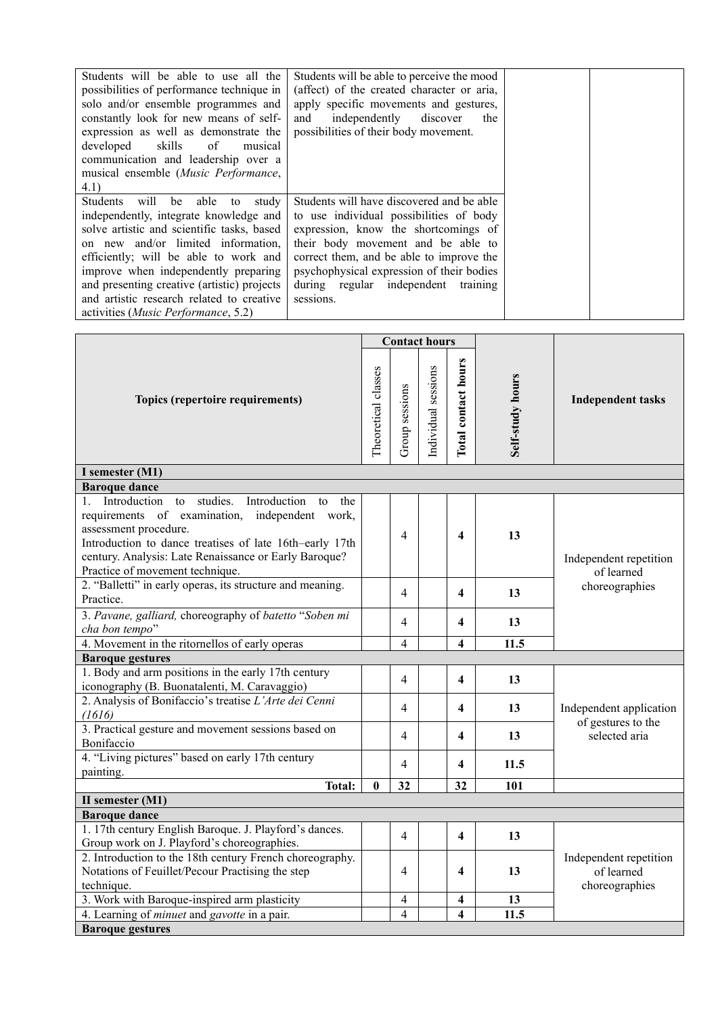| Students will be able to use all the<br>possibilities of performance technique in<br>solo and/or ensemble programmes and<br>constantly look for new means of self-<br>expression as well as demonstrate the<br>developed skills<br>of<br>musical<br>communication and leadership over a<br>musical ensemble (Music Performance,<br>4.1) | Students will be able to perceive the mood<br>(affect) of the created character or aria,<br>apply specific movements and gestures,<br>independently<br>discover<br>and<br>the<br>possibilities of their body movement. |
|-----------------------------------------------------------------------------------------------------------------------------------------------------------------------------------------------------------------------------------------------------------------------------------------------------------------------------------------|------------------------------------------------------------------------------------------------------------------------------------------------------------------------------------------------------------------------|
| Students<br>will<br>able<br>be<br>study<br>to<br>independently, integrate knowledge and<br>solve artistic and scientific tasks, based                                                                                                                                                                                                   | Students will have discovered and be able<br>to use individual possibilities of body<br>expression, know the shortcomings of                                                                                           |
| on new and/or limited information,<br>efficiently; will be able to work and<br>improve when independently preparing<br>and presenting creative (artistic) projects                                                                                                                                                                      | their body movement and be able to<br>correct them, and be able to improve the<br>psychophysical expression of their bodies<br>during regular independent training                                                     |
| and artistic research related to creative<br>activities ( <i>Music Performance</i> , 5.2)                                                                                                                                                                                                                                               | sessions.                                                                                                                                                                                                              |

|                                                                                                                                                                                                                                                                                                  |   | <b>Contact hours</b>    |                     |                         |                  |                                                        |  |
|--------------------------------------------------------------------------------------------------------------------------------------------------------------------------------------------------------------------------------------------------------------------------------------------------|---|-------------------------|---------------------|-------------------------|------------------|--------------------------------------------------------|--|
| Topics (repertoire requirements)                                                                                                                                                                                                                                                                 |   | Group sessions          | Individual sessions | Total contact hours     | Self-study hours | <b>Independent tasks</b>                               |  |
| I semester (M1)                                                                                                                                                                                                                                                                                  |   |                         |                     |                         |                  |                                                        |  |
| <b>Baroque dance</b>                                                                                                                                                                                                                                                                             |   |                         |                     |                         |                  |                                                        |  |
| studies.<br>1. Introduction<br>Introduction<br>to<br>to<br>the<br>requirements of examination, independent work,<br>assessment procedure.<br>Introduction to dance treatises of late 16th-early 17th<br>century. Analysis: Late Renaissance or Early Baroque?<br>Practice of movement technique. |   | 4                       |                     | $\overline{\mathbf{4}}$ | 13               | Independent repetition<br>of learned                   |  |
| 2. "Balletti" in early operas, its structure and meaning.<br>Practice.                                                                                                                                                                                                                           |   | 4                       |                     | 4                       | 13               | choreographies                                         |  |
| 3. Pavane, galliard, choreography of batetto "Soben mi<br>cha bon tempo"                                                                                                                                                                                                                         |   | 4                       |                     | 4                       | 13               |                                                        |  |
| 4. Movement in the ritornellos of early operas                                                                                                                                                                                                                                                   |   | 4                       |                     | 4                       | 11.5             |                                                        |  |
| <b>Baroque gestures</b>                                                                                                                                                                                                                                                                          |   |                         |                     |                         |                  |                                                        |  |
| 1. Body and arm positions in the early 17th century<br>iconography (B. Buonatalenti, M. Caravaggio)                                                                                                                                                                                              |   | 4                       |                     | 4                       | 13               |                                                        |  |
| 2. Analysis of Bonifaccio's treatise L'Arte dei Cenni<br>(1616)                                                                                                                                                                                                                                  |   | 4                       |                     | 4                       | 13               | Independent application<br>of gestures to the          |  |
| 3. Practical gesture and movement sessions based on<br>Bonifaccio                                                                                                                                                                                                                                |   | 4                       |                     | 4                       | 13               | selected aria                                          |  |
| 4. "Living pictures" based on early 17th century<br>painting.                                                                                                                                                                                                                                    |   | 4                       |                     | 4                       | 11.5             |                                                        |  |
| <b>Total:</b>                                                                                                                                                                                                                                                                                    | 0 | 32                      |                     | 32                      | 101              |                                                        |  |
| II semester (M1)                                                                                                                                                                                                                                                                                 |   |                         |                     |                         |                  |                                                        |  |
| <b>Baroque dance</b>                                                                                                                                                                                                                                                                             |   |                         |                     |                         |                  |                                                        |  |
| 1. 17th century English Baroque. J. Playford's dances.<br>Group work on J. Playford's choreographies.                                                                                                                                                                                            |   | 4                       |                     | 4                       | 13               |                                                        |  |
| 2. Introduction to the 18th century French choreography.<br>Notations of Feuillet/Pecour Practising the step<br>technique.                                                                                                                                                                       |   | 4                       |                     | 4                       | 13               | Independent repetition<br>of learned<br>choreographies |  |
| 3. Work with Baroque-inspired arm plasticity                                                                                                                                                                                                                                                     |   | 4                       |                     | 4                       | 13               |                                                        |  |
| 4. Learning of <i>minuet</i> and <i>gavotte</i> in a pair.                                                                                                                                                                                                                                       |   | $\overline{\mathbf{4}}$ |                     | 4                       | 11.5             |                                                        |  |
| <b>Baroque gestures</b>                                                                                                                                                                                                                                                                          |   |                         |                     |                         |                  |                                                        |  |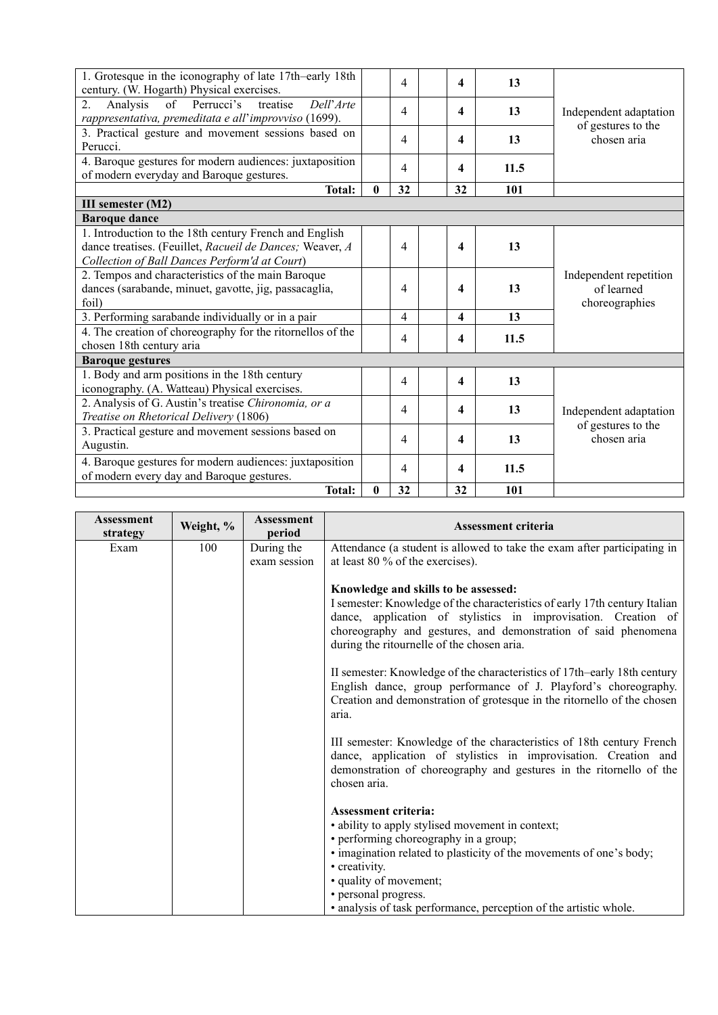| 1. Grotesque in the iconography of late 17th-early 18th    |   | 4  | 4                | 13   |                        |
|------------------------------------------------------------|---|----|------------------|------|------------------------|
| century. (W. Hogarth) Physical exercises.                  |   |    |                  |      |                        |
| Dell'Arte<br>of Perrucci's<br>treatise<br>2.<br>Analysis   |   | 4  | 4                | 13   | Independent adaptation |
| rappresentativa, premeditata e all'improvviso (1699).      |   |    |                  |      |                        |
| 3. Practical gesture and movement sessions based on        |   |    |                  |      | of gestures to the     |
| Perucci.                                                   |   | 4  | 4                | 13   | chosen aria            |
| 4. Baroque gestures for modern audiences: juxtaposition    |   |    |                  |      |                        |
| of modern everyday and Baroque gestures.                   |   | 4  | 4                | 11.5 |                        |
| <b>Total:</b>                                              | 0 | 32 | 32               | 101  |                        |
| III semester (M2)                                          |   |    |                  |      |                        |
| <b>Baroque dance</b>                                       |   |    |                  |      |                        |
| 1. Introduction to the 18th century French and English     |   |    |                  |      |                        |
| dance treatises. (Feuillet, Racueil de Dances; Weaver, A   |   | 4  | 4                | 13   |                        |
| Collection of Ball Dances Perform'd at Court)              |   |    |                  |      |                        |
| 2. Tempos and characteristics of the main Baroque          |   |    |                  |      | Independent repetition |
| dances (sarabande, minuet, gavotte, jig, passacaglia,      |   | 4  | 4                | 13   | of learned             |
| foil)                                                      |   |    |                  |      | choreographies         |
| 3. Performing sarabande individually or in a pair          |   | 4  | 4                | 13   |                        |
|                                                            |   |    |                  |      |                        |
| 4. The creation of choreography for the ritornellos of the |   | 4  | 4                | 11.5 |                        |
| chosen 18th century aria                                   |   |    |                  |      |                        |
| <b>Baroque gestures</b>                                    |   |    |                  |      |                        |
| 1. Body and arm positions in the 18th century              |   | 4  | 4                | 13   |                        |
| iconography. (A. Watteau) Physical exercises.              |   |    |                  |      |                        |
| 2. Analysis of G. Austin's treatise Chironomia, or a       |   |    |                  |      |                        |
| Treatise on Rhetorical Delivery (1806)                     |   | 4  | 4                | 13   | Independent adaptation |
| 3. Practical gesture and movement sessions based on        |   |    |                  |      | of gestures to the     |
| Augustin.                                                  |   | 4  | 4                | 13   | chosen aria            |
| 4. Baroque gestures for modern audiences: juxtaposition    |   |    |                  |      |                        |
|                                                            |   | 4  | $\boldsymbol{4}$ | 11.5 |                        |
| of modern every day and Baroque gestures.                  |   |    |                  |      |                        |
| Total:                                                     | 0 | 32 | 32               | 101  |                        |

| <b>Assessment</b><br>Weight, %<br>strategy | <b>Assessment</b><br>period | <b>Assessment criteria</b>                                                                                                                                                                                                                                                                           |
|--------------------------------------------|-----------------------------|------------------------------------------------------------------------------------------------------------------------------------------------------------------------------------------------------------------------------------------------------------------------------------------------------|
| 100<br>Exam                                | During the                  | Attendance (a student is allowed to take the exam after participating in                                                                                                                                                                                                                             |
|                                            | exam session                | at least $80\%$ of the exercises).                                                                                                                                                                                                                                                                   |
|                                            |                             | Knowledge and skills to be assessed:<br>I semester: Knowledge of the characteristics of early 17th century Italian<br>dance, application of stylistics in improvisation. Creation of<br>choreography and gestures, and demonstration of said phenomena<br>during the ritournelle of the chosen aria. |
|                                            |                             | II semester: Knowledge of the characteristics of 17th–early 18th century<br>English dance, group performance of J. Playford's choreography.<br>Creation and demonstration of grotesque in the ritornello of the chosen<br>aria.                                                                      |
|                                            |                             | III semester: Knowledge of the characteristics of 18th century French<br>dance, application of stylistics in improvisation. Creation and<br>demonstration of choreography and gestures in the ritornello of the<br>chosen aria.                                                                      |
|                                            |                             | <b>Assessment criteria:</b>                                                                                                                                                                                                                                                                          |
|                                            |                             | • ability to apply stylised movement in context;                                                                                                                                                                                                                                                     |
|                                            |                             | • performing choreography in a group;                                                                                                                                                                                                                                                                |
|                                            |                             | • imagination related to plasticity of the movements of one's body;                                                                                                                                                                                                                                  |
|                                            |                             | • creativity.<br>• quality of movement;                                                                                                                                                                                                                                                              |
|                                            |                             | • personal progress.                                                                                                                                                                                                                                                                                 |
|                                            |                             | • analysis of task performance, perception of the artistic whole.                                                                                                                                                                                                                                    |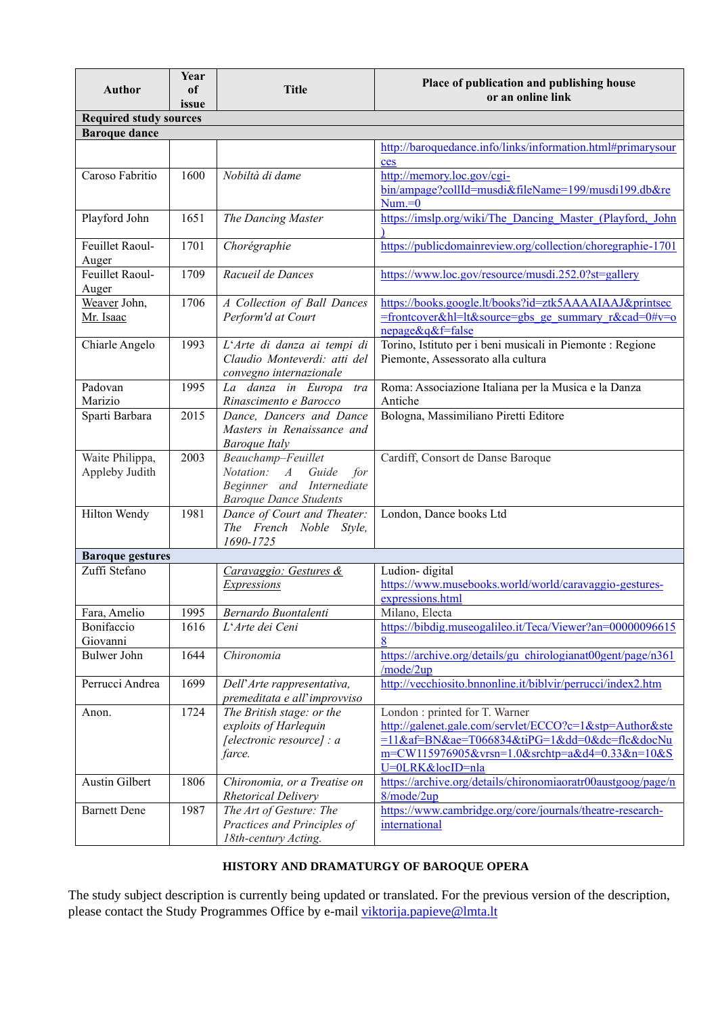| <b>Author</b>                     | Year<br>of | <b>Title</b>                                                                                                    | Place of publication and publishing house                                                                                                                                                                    |
|-----------------------------------|------------|-----------------------------------------------------------------------------------------------------------------|--------------------------------------------------------------------------------------------------------------------------------------------------------------------------------------------------------------|
|                                   | issue      |                                                                                                                 | or an online link                                                                                                                                                                                            |
| <b>Required study sources</b>     |            |                                                                                                                 |                                                                                                                                                                                                              |
| <b>Baroque dance</b>              |            |                                                                                                                 |                                                                                                                                                                                                              |
|                                   |            |                                                                                                                 | http://baroquedance.info/links/information.html#primarysour<br>ces                                                                                                                                           |
| Caroso Fabritio                   | 1600       | Nobiltà di dame                                                                                                 | http://memory.loc.gov/cgi-<br>bin/ampage?collId=musdi&fileName=199/musdi199.db&re<br>$Num = 0$                                                                                                               |
| Playford John                     | 1651       | The Dancing Master                                                                                              | https://imslp.org/wiki/The Dancing Master (Playford, John                                                                                                                                                    |
| Feuillet Raoul-<br>Auger          | 1701       | Chorégraphie                                                                                                    | https://publicdomainreview.org/collection/choregraphie-1701                                                                                                                                                  |
| Feuillet Raoul-<br>Auger          | 1709       | Racueil de Dances                                                                                               | https://www.loc.gov/resource/musdi.252.0?st=gallery                                                                                                                                                          |
| Weaver John,<br>Mr. Isaac         | 1706       | A Collection of Ball Dances<br>Perform'd at Court                                                               | https://books.google.lt/books?id=ztk5AAAAIAAJ&printsec<br>=frontcover&hl=lt&source=gbs ge summary $r&c\text{ad}=0\#v=0$<br>nepage&q&f=false                                                                  |
| Chiarle Angelo                    | 1993       | L'Arte di danza ai tempi di<br>Claudio Monteverdi: atti del<br>convegno internazionale                          | Torino, Istituto per i beni musicali in Piemonte : Regione<br>Piemonte, Assessorato alla cultura                                                                                                             |
| Padovan<br>Marizio                | 1995       | La danza in Europa<br>tra<br>Rinascimento e Barocco                                                             | Roma: Associazione Italiana per la Musica e la Danza<br>Antiche                                                                                                                                              |
| Sparti Barbara                    | 2015       | Dance, Dancers and Dance<br>Masters in Renaissance and<br><b>Baroque Italy</b>                                  | Bologna, Massimiliano Piretti Editore                                                                                                                                                                        |
| Waite Philippa,<br>Appleby Judith | 2003       | Beauchamp-Feuillet<br>Notation: A<br>Guide<br>for<br>Beginner and Internediate<br><b>Baroque Dance Students</b> | Cardiff, Consort de Danse Baroque                                                                                                                                                                            |
| Hilton Wendy                      | 1981       | Dance of Court and Theater:<br>The French Noble Style,<br>1690-1725                                             | London, Dance books Ltd                                                                                                                                                                                      |
| <b>Baroque gestures</b>           |            |                                                                                                                 |                                                                                                                                                                                                              |
| Zuffi Stefano                     |            | Caravaggio: Gestures &<br><b>Expressions</b>                                                                    | Ludion-digital<br>https://www.musebooks.world/world/caravaggio-gestures-<br>expressions.html                                                                                                                 |
| Fara, Amelio                      | 1995       | Bernardo Buontalenti                                                                                            | Milano, Electa                                                                                                                                                                                               |
| Bonifaccio<br>Giovanni            | 1616       | L'Arte dei Ceni                                                                                                 | https://bibdig.museogalileo.it/Teca/Viewer?an=00000096615                                                                                                                                                    |
| <b>Bulwer John</b>                | 1644       | Chironomia                                                                                                      | https://archive.org/details/gu chirologianat00gent/page/n361<br>/mode/2up                                                                                                                                    |
| Perrucci Andrea                   | 1699       | Dell'Arte rappresentativa,<br>premeditata e all'improvviso                                                      | http://vecchiosito.bnnonline.it/biblvir/perrucci/index2.htm                                                                                                                                                  |
| Anon.                             | 1724       | The British stage: or the<br>exploits of Harlequin<br>[electronic resource] : a<br>farce.                       | London : printed for T. Warner<br>http://galenet.gale.com/servlet/ECCO?c=1&stp=Author&ste<br>=11⁡=BN&ae=T066834&tiPG=1ⅆ=0&dc=flc&docNu<br>m=CW115976905&vrsn=1.0&srchtp=a&d4=0.33&n=10&S<br>U=0LRK&locID=nla |
| Austin Gilbert                    | 1806       | Chironomia, or a Treatise on<br><b>Rhetorical Delivery</b>                                                      | https://archive.org/details/chironomiaoratr00austgoog/page/n<br>8/mode/2up                                                                                                                                   |
| <b>Barnett Dene</b>               | 1987       | The Art of Gesture: The<br>Practices and Principles of<br>18th-century Acting.                                  | https://www.cambridge.org/core/journals/theatre-research-<br>international                                                                                                                                   |

# **HISTORY AND DRAMATURGY OF BAROQUE OPERA**

<span id="page-15-0"></span>The study subject description is currently being updated or translated. For the previous version of the description, please contact the Study Programmes Office by e-mail [viktorija.papieve@lmta.lt](mailto:viktorija.papieve@lmta.lt)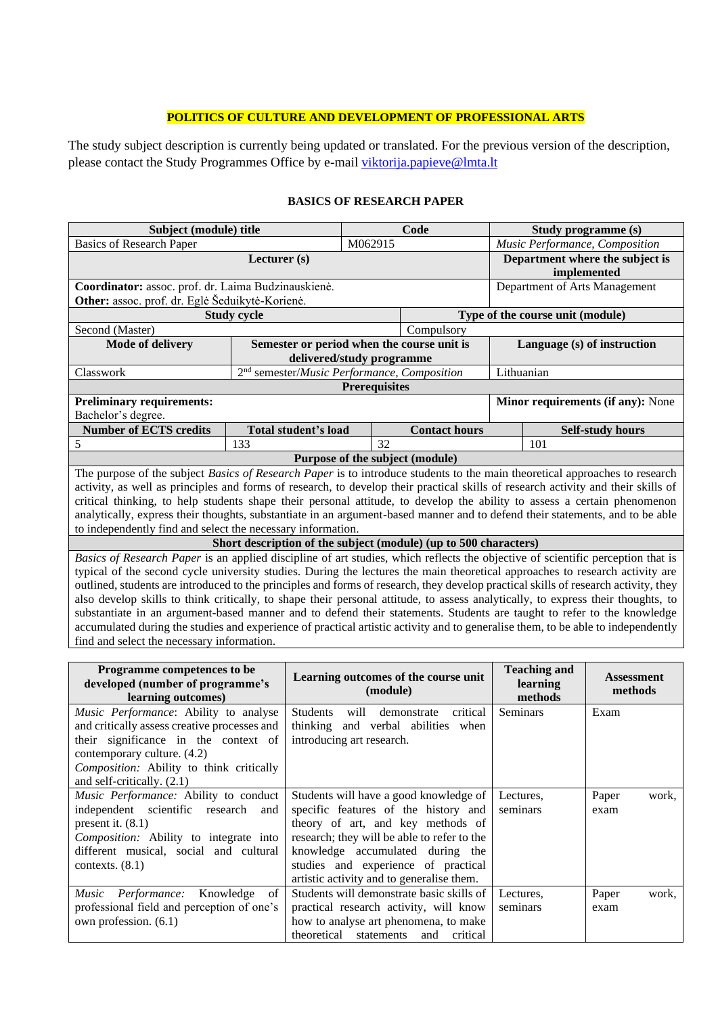## **POLITICS OF CULTURE AND DEVELOPMENT OF PROFESSIONAL ARTS**

<span id="page-16-0"></span>The study subject description is currently being updated or translated. For the previous version of the description, please contact the Study Programmes Office by e-mail [viktorija.papieve@lmta.lt](mailto:viktorija.papieve@lmta.lt)

<span id="page-16-1"></span>

| Subject (module) title                                      |                                                                  |                           | Code                            |                                 | Study programme (s)                                                                                                                 |  |  |
|-------------------------------------------------------------|------------------------------------------------------------------|---------------------------|---------------------------------|---------------------------------|-------------------------------------------------------------------------------------------------------------------------------------|--|--|
| <b>Basics of Research Paper</b>                             |                                                                  | M062915                   |                                 |                                 | Music Performance, Composition                                                                                                      |  |  |
|                                                             |                                                                  |                           |                                 | Department where the subject is |                                                                                                                                     |  |  |
|                                                             |                                                                  |                           |                                 |                                 | implemented                                                                                                                         |  |  |
| Coordinator: assoc. prof. dr. Laima Budzinauskienė.         |                                                                  |                           |                                 |                                 | Department of Arts Management                                                                                                       |  |  |
| Other: assoc. prof. dr. Eglė Šeduikytė-Korienė.             |                                                                  |                           |                                 |                                 |                                                                                                                                     |  |  |
|                                                             | <b>Study cycle</b>                                               |                           |                                 |                                 | Type of the course unit (module)                                                                                                    |  |  |
| Second (Master)                                             |                                                                  |                           | Compulsory                      |                                 |                                                                                                                                     |  |  |
| <b>Mode of delivery</b>                                     | Semester or period when the course unit is                       |                           |                                 |                                 | Language (s) of instruction                                                                                                         |  |  |
|                                                             |                                                                  | delivered/study programme |                                 |                                 |                                                                                                                                     |  |  |
| Classwork                                                   | 2 <sup>nd</sup> semester/Music Performance, Composition          |                           |                                 |                                 | Lithuanian                                                                                                                          |  |  |
|                                                             |                                                                  | <b>Prerequisites</b>      |                                 |                                 |                                                                                                                                     |  |  |
| <b>Preliminary requirements:</b>                            |                                                                  |                           |                                 |                                 | Minor requirements (if any): None                                                                                                   |  |  |
| Bachelor's degree.                                          |                                                                  |                           |                                 |                                 |                                                                                                                                     |  |  |
| <b>Number of ECTS credits</b>                               | Total student's load                                             |                           | <b>Contact hours</b>            |                                 | <b>Self-study hours</b>                                                                                                             |  |  |
| 5                                                           | 133                                                              | 32                        |                                 | 101                             |                                                                                                                                     |  |  |
|                                                             |                                                                  |                           | Purpose of the subject (module) |                                 |                                                                                                                                     |  |  |
|                                                             |                                                                  |                           |                                 |                                 | The purpose of the subject Basics of Research Paper is to introduce students to the main theoretical approaches to research         |  |  |
|                                                             |                                                                  |                           |                                 |                                 | activity, as well as principles and forms of research, to develop their practical skills of research activity and their skills of   |  |  |
|                                                             |                                                                  |                           |                                 |                                 | critical thinking, to help students shape their personal attitude, to develop the ability to assess a certain phenomenon            |  |  |
|                                                             |                                                                  |                           |                                 |                                 | analytically, express their thoughts, substantiate in an argument-based manner and to defend their statements, and to be able       |  |  |
| to independently find and select the necessary information. |                                                                  |                           |                                 |                                 |                                                                                                                                     |  |  |
|                                                             | Short description of the subject (module) (up to 500 characters) |                           |                                 |                                 |                                                                                                                                     |  |  |
|                                                             |                                                                  |                           |                                 |                                 | Basics of Research Paper is an applied discipline of art studies, which reflects the objective of scientific perception that is     |  |  |
|                                                             |                                                                  |                           |                                 |                                 | typical of the second cycle university studies. During the lectures the main theoretical approaches to research activity are        |  |  |
|                                                             |                                                                  |                           |                                 |                                 | outlined, students are introduced to the principles and forms of research, they develop practical skills of research activity, they |  |  |
|                                                             |                                                                  |                           |                                 |                                 | also develop skills to think critically, to shape their personal attitude, to assess analytically, to express their thoughts, to    |  |  |
|                                                             |                                                                  |                           |                                 |                                 | substantiate in an argument-based manner and to defend their statements. Students are taught to refer to the knowledge              |  |  |
|                                                             |                                                                  |                           |                                 |                                 | accumulated during the studies and experience of practical artistic activity and to generalise them, to be able to independently    |  |  |
| find and select the necessary information.                  |                                                                  |                           |                                 |                                 |                                                                                                                                     |  |  |

#### **BASICS OF RESEARCH PAPER**

| Programme competences to be<br>developed (number of programme's<br>learning outcomes)                                                                                                                                                           | Learning outcomes of the course unit<br>(module)                                                                                                                                                                                                                                           | <b>Teaching and</b><br>learning<br>methods | <b>Assessment</b><br>methods |
|-------------------------------------------------------------------------------------------------------------------------------------------------------------------------------------------------------------------------------------------------|--------------------------------------------------------------------------------------------------------------------------------------------------------------------------------------------------------------------------------------------------------------------------------------------|--------------------------------------------|------------------------------|
| <i>Music Performance:</i> Ability to analyse<br>and critically assess creative processes and<br>their significance in the context of<br>contemporary culture. (4.2)<br>Composition: Ability to think critically<br>and self-critically. $(2.1)$ | critical<br><b>Students</b><br>will<br>demonstrate<br>thinking and verbal abilities when<br>introducing art research.                                                                                                                                                                      | <b>Seminars</b>                            | Exam                         |
| Music Performance: Ability to conduct<br>independent scientific research<br>and<br>present it. $(8.1)$<br>Composition: Ability to integrate into<br>different musical, social and cultural<br>contexts. $(8.1)$                                 | Students will have a good knowledge of<br>specific features of the history and<br>theory of art, and key methods of<br>research; they will be able to refer to the<br>knowledge accumulated during the<br>studies and experience of practical<br>artistic activity and to generalise them. | Lectures.<br>seminars                      | Paper<br>work,<br>exam       |
| Music Performance: Knowledge<br>of<br>professional field and perception of one's<br>own profession. (6.1)                                                                                                                                       | Students will demonstrate basic skills of<br>practical research activity, will know<br>how to analyse art phenomena, to make<br>theoretical statements and critical                                                                                                                        | Lectures.<br>seminars                      | Paper<br>work,<br>exam       |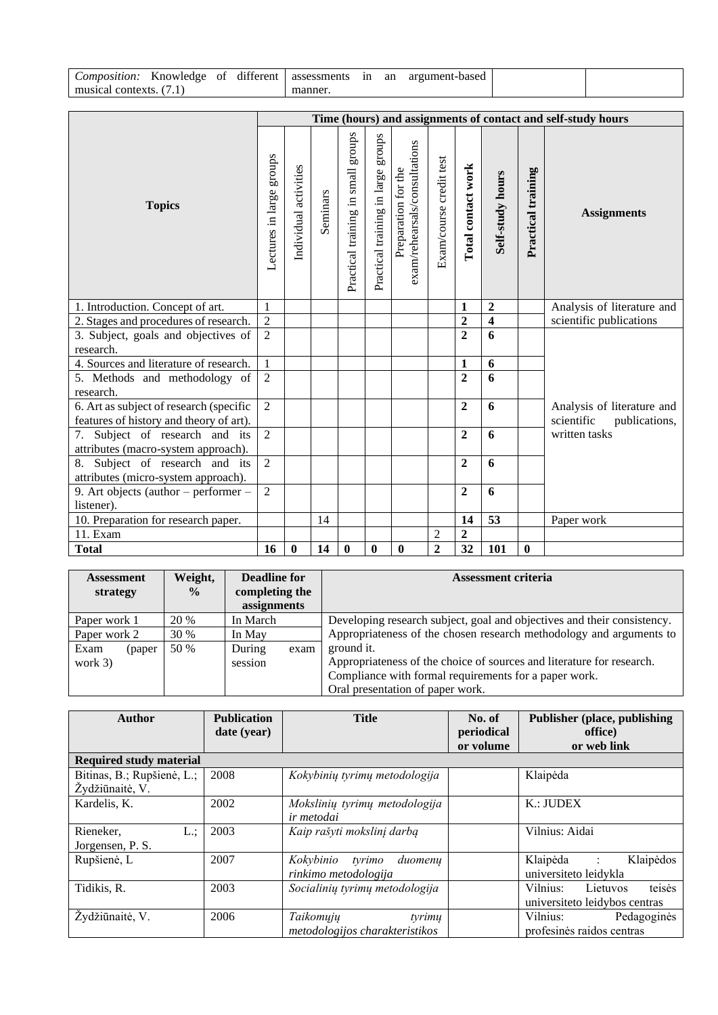| Composition:      | Knowledge | - OT | 1.00<br>different | assessments | 1n | an | argument-based |  |
|-------------------|-----------|------|-------------------|-------------|----|----|----------------|--|
| musical contexts. | $\cdot$ 1 |      |                   | manner.     |    |    |                |  |

|                                                                       |                          |                       |          |                                    |                                       |                                                      |                         |                    |                         |                    | Time (hours) and assignments of contact and self-study hours |
|-----------------------------------------------------------------------|--------------------------|-----------------------|----------|------------------------------------|---------------------------------------|------------------------------------------------------|-------------------------|--------------------|-------------------------|--------------------|--------------------------------------------------------------|
| <b>Topics</b>                                                         | Lectures in large groups | Individual activities | Seminars | Practical training in small groups | groups<br>Practical training in large | exam/rehearsals/consultations<br>Preparation for the | Exam/course credit test | Total contact work | Self-study hours        | Practical training | <b>Assignments</b>                                           |
| 1. Introduction. Concept of art.                                      | $\mathbf{1}$             |                       |          |                                    |                                       |                                                      |                         | 1                  | $\overline{2}$          |                    | Analysis of literature and                                   |
| 2. Stages and procedures of research.                                 | $\sqrt{2}$               |                       |          |                                    |                                       |                                                      |                         | $\mathbf{2}$       | $\overline{\mathbf{4}}$ |                    | scientific publications                                      |
| 3. Subject, goals and objectives of                                   | $\overline{2}$           |                       |          |                                    |                                       |                                                      |                         | $\overline{2}$     | 6                       |                    |                                                              |
| research.                                                             |                          |                       |          |                                    |                                       |                                                      |                         |                    |                         |                    |                                                              |
| 4. Sources and literature of research.                                | $\mathbf{1}$             |                       |          |                                    |                                       |                                                      |                         | 1                  | 6                       |                    |                                                              |
| 5. Methods and methodology of<br>research.                            | $\overline{2}$           |                       |          |                                    |                                       |                                                      |                         | $\overline{2}$     | 6                       |                    |                                                              |
| 6. Art as subject of research (specific                               | $\overline{2}$           |                       |          |                                    |                                       |                                                      |                         | $\overline{2}$     | 6                       |                    | Analysis of literature and                                   |
| features of history and theory of art).                               |                          |                       |          |                                    |                                       |                                                      |                         |                    |                         |                    | scientific<br>publications,                                  |
| 7. Subject of research and its                                        | $\overline{2}$           |                       |          |                                    |                                       |                                                      |                         | $\boldsymbol{2}$   | 6                       |                    | written tasks                                                |
| attributes (macro-system approach).                                   |                          |                       |          |                                    |                                       |                                                      |                         | $\overline{2}$     | 6                       |                    |                                                              |
| 8. Subject of research and its<br>attributes (micro-system approach). |                          |                       |          |                                    |                                       |                                                      |                         |                    |                         |                    |                                                              |
| 9. Art objects (author - performer -                                  |                          |                       |          |                                    |                                       |                                                      |                         | $\overline{2}$     | 6                       |                    |                                                              |
| listener).                                                            | $\overline{2}$           |                       |          |                                    |                                       |                                                      |                         |                    |                         |                    |                                                              |
| 10. Preparation for research paper.                                   |                          |                       | 14       |                                    |                                       |                                                      |                         | 14                 | 53                      |                    | Paper work                                                   |
| 11. Exam                                                              |                          |                       |          |                                    |                                       |                                                      | $\overline{2}$          | $\mathbf{2}$       |                         |                    |                                                              |
| <b>Total</b>                                                          | 16                       | $\mathbf{0}$          | 14       | $\bf{0}$                           | $\mathbf{0}$                          | $\bf{0}$                                             | $\overline{2}$          | 32                 | 101                     | $\bf{0}$           |                                                              |

| <b>Assessment</b><br>strategy | Weight,<br><b>Deadline for</b><br>$\frac{0}{0}$<br>completing the<br>assignments |          |      | <b>Assessment criteria</b>                                              |
|-------------------------------|----------------------------------------------------------------------------------|----------|------|-------------------------------------------------------------------------|
| Paper work 1                  | 20 %                                                                             | In March |      | Developing research subject, goal and objectives and their consistency. |
| Paper work 2                  | 30 %                                                                             | In May   |      | Appropriateness of the chosen research methodology and arguments to     |
| Exam<br>(paper                | 50 %                                                                             | During   | exam | ground it.                                                              |
| work $3)$                     |                                                                                  | session  |      | Appropriateness of the choice of sources and literature for research.   |
|                               |                                                                                  |          |      | Compliance with formal requirements for a paper work.                   |
|                               |                                                                                  |          |      | Oral presentation of paper work.                                        |

| <b>Author</b>                                 | <b>Publication</b><br>date (year) | <b>Title</b>                                           | No. of<br>periodical<br>or volume | <b>Publisher (place, publishing)</b><br>office)<br>or web link  |  |  |
|-----------------------------------------------|-----------------------------------|--------------------------------------------------------|-----------------------------------|-----------------------------------------------------------------|--|--|
| <b>Required study material</b>                |                                   |                                                        |                                   |                                                                 |  |  |
| Bitinas, B.; Rupšienė, L.;<br>Žydžiūnaitė, V. | 2008                              | Kokybinių tyrimų metodologija                          |                                   | Klaipėda                                                        |  |  |
| Kardelis, K.                                  | 2002                              | Mokslinių tyrimų metodologija<br>ir metodai            |                                   | K.: JUDEX                                                       |  |  |
| Rieneker,<br>L:<br>Jorgensen, P. S.           | 2003                              | Kaip rašyti mokslinį darbą                             |                                   | Vilnius: Aidai                                                  |  |  |
| Rupšienė, L                                   | 2007                              | Kokybinio<br>duomenų<br>tvrimo<br>rinkimo metodologija |                                   | Klaipėdos<br>Klaipėda :<br>universiteto leidykla                |  |  |
| Tidikis, R.                                   | 2003                              | Socialinių tyrimų metodologija                         |                                   | teisės<br>Vilnius:<br>Lietuvos<br>universiteto leidybos centras |  |  |
| Žydžiūnaitė, V.                               | 2006                              | Taikomųjų<br>tyrimų<br>metodologijos charakteristikos  |                                   | Vilnius:<br>Pedagoginės<br>profesinės raidos centras            |  |  |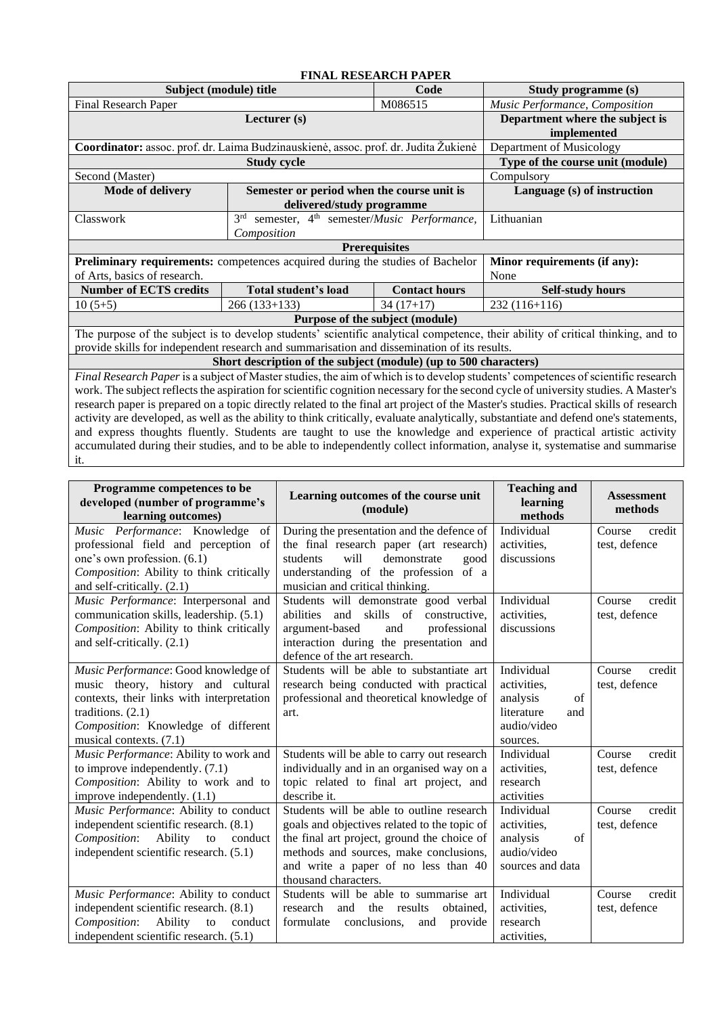<span id="page-18-0"></span>

| <b>FINAL RESEARCH PAPER</b>                                                                 |                                                                                   |                                 |                                                                                                                                     |  |  |  |  |  |  |
|---------------------------------------------------------------------------------------------|-----------------------------------------------------------------------------------|---------------------------------|-------------------------------------------------------------------------------------------------------------------------------------|--|--|--|--|--|--|
| Subject (module) title                                                                      | Study programme (s)                                                               |                                 |                                                                                                                                     |  |  |  |  |  |  |
| Final Research Paper                                                                        | Music Performance, Composition                                                    |                                 |                                                                                                                                     |  |  |  |  |  |  |
|                                                                                             | Lecturer (s)                                                                      |                                 | Department where the subject is                                                                                                     |  |  |  |  |  |  |
|                                                                                             |                                                                                   |                                 | implemented                                                                                                                         |  |  |  |  |  |  |
| Coordinator: assoc. prof. dr. Laima Budzinauskienė, assoc. prof. dr. Judita Žukienė         |                                                                                   |                                 | Department of Musicology                                                                                                            |  |  |  |  |  |  |
|                                                                                             | <b>Study cycle</b>                                                                |                                 | Type of the course unit (module)                                                                                                    |  |  |  |  |  |  |
| Second (Master)                                                                             |                                                                                   | Compulsory                      |                                                                                                                                     |  |  |  |  |  |  |
| <b>Mode of delivery</b>                                                                     | Semester or period when the course unit is                                        | Language (s) of instruction     |                                                                                                                                     |  |  |  |  |  |  |
|                                                                                             | delivered/study programme                                                         |                                 |                                                                                                                                     |  |  |  |  |  |  |
| Classwork                                                                                   | 3 <sup>rd</sup><br>semester, 4 <sup>th</sup> semester/ <i>Music Performance</i> , |                                 | Lithuanian                                                                                                                          |  |  |  |  |  |  |
|                                                                                             | Composition                                                                       |                                 |                                                                                                                                     |  |  |  |  |  |  |
|                                                                                             |                                                                                   | <b>Prerequisites</b>            |                                                                                                                                     |  |  |  |  |  |  |
| Preliminary requirements: competences acquired during the studies of Bachelor               |                                                                                   |                                 | Minor requirements (if any):                                                                                                        |  |  |  |  |  |  |
| of Arts, basics of research.                                                                |                                                                                   |                                 | None                                                                                                                                |  |  |  |  |  |  |
| <b>Number of ECTS credits</b>                                                               | Total student's load                                                              | <b>Contact hours</b>            | <b>Self-study hours</b>                                                                                                             |  |  |  |  |  |  |
| $10(5+5)$                                                                                   | $266(133+133)$                                                                    | $34(17+17)$                     | $232(116+116)$                                                                                                                      |  |  |  |  |  |  |
|                                                                                             |                                                                                   | Purpose of the subject (module) |                                                                                                                                     |  |  |  |  |  |  |
|                                                                                             |                                                                                   |                                 | The purpose of the subject is to develop students' scientific analytical competence, their ability of critical thinking, and to     |  |  |  |  |  |  |
| provide skills for independent research and summarisation and dissemination of its results. |                                                                                   |                                 |                                                                                                                                     |  |  |  |  |  |  |
| Short description of the subject (module) (up to 500 characters)                            |                                                                                   |                                 |                                                                                                                                     |  |  |  |  |  |  |
|                                                                                             |                                                                                   |                                 | Final Research Paper is a subject of Master studies, the aim of which is to develop students' competences of scientific research    |  |  |  |  |  |  |
|                                                                                             |                                                                                   |                                 | work. The subject reflects the aspiration for scientific cognition necessary for the second cycle of university studies. A Master's |  |  |  |  |  |  |

research paper is prepared on a topic directly related to the final art project of the Master's studies. Practical skills of research activity are developed, as well as the ability to think critically, evaluate analytically, substantiate and defend one's statements, and express thoughts fluently. Students are taught to use the knowledge and experience of practical artistic activity accumulated during their studies, and to be able to independently collect information, analyse it, systematise and summarise it.

| Programme competences to be<br>developed (number of programme's<br>learning outcomes) | Learning outcomes of the course unit<br>(module)                                      | <b>Teaching and</b><br>learning<br>methods | <b>Assessment</b><br>methods      |
|---------------------------------------------------------------------------------------|---------------------------------------------------------------------------------------|--------------------------------------------|-----------------------------------|
| Music Performance: Knowledge<br>of<br>professional field and perception of            | During the presentation and the defence of<br>the final research paper (art research) | Individual<br>activities,                  | Course<br>credit<br>test, defence |
| one's own profession. (6.1)                                                           | will<br>demonstrate<br>students<br>good                                               | discussions                                |                                   |
| Composition: Ability to think critically                                              | understanding of the profession of a                                                  |                                            |                                   |
| and self-critically. (2.1)                                                            | musician and critical thinking.                                                       |                                            |                                   |
| Music Performance: Interpersonal and                                                  | Students will demonstrate good verbal                                                 | Individual                                 | credit<br>Course                  |
| communication skills, leadership. (5.1)                                               | abilities<br>and skills of<br>constructive.                                           | activities.                                | test, defence                     |
| Composition: Ability to think critically                                              | argument-based<br>and<br>professional                                                 | discussions                                |                                   |
| and self-critically. (2.1)                                                            | interaction during the presentation and<br>defence of the art research.               |                                            |                                   |
| Music Performance: Good knowledge of                                                  | Students will be able to substantiate art                                             | Individual                                 | Course<br>credit                  |
| music theory, history and cultural                                                    | research being conducted with practical                                               | activities.                                | test, defence                     |
| contexts, their links with interpretation                                             | professional and theoretical knowledge of                                             | analysis<br>of                             |                                   |
| traditions. (2.1)                                                                     | art.                                                                                  | literature<br>and                          |                                   |
| Composition: Knowledge of different                                                   |                                                                                       | audio/video                                |                                   |
| musical contexts. (7.1)                                                               |                                                                                       | sources.                                   |                                   |
| Music Performance: Ability to work and                                                | Students will be able to carry out research                                           | Individual                                 | Course<br>credit                  |
| to improve independently. $(7.1)$                                                     | individually and in an organised way on a                                             | activities,                                | test, defence                     |
| Composition: Ability to work and to                                                   | topic related to final art project, and                                               | research                                   |                                   |
| improve independently. (1.1)                                                          | describe it.                                                                          | activities                                 |                                   |
| Music Performance: Ability to conduct                                                 | Students will be able to outline research                                             | Individual                                 | Course<br>credit                  |
| independent scientific research. (8.1)                                                | goals and objectives related to the topic of                                          | activities,                                | test, defence                     |
| Composition:<br>Ability<br>to<br>conduct                                              | the final art project, ground the choice of                                           | of<br>analysis                             |                                   |
| independent scientific research. (5.1)                                                | methods and sources, make conclusions,                                                | audio/video                                |                                   |
|                                                                                       | and write a paper of no less than 40<br>thousand characters.                          | sources and data                           |                                   |
| Music Performance: Ability to conduct                                                 | Students will be able to summarise art                                                | Individual                                 | Course<br>credit                  |
| independent scientific research. (8.1)                                                | research<br>and<br>the results<br>obtained,                                           | activities,                                | test, defence                     |
| Composition:<br>Ability<br>conduct<br>to                                              | formulate<br>conclusions.<br>and<br>provide                                           | research                                   |                                   |
| independent scientific research. (5.1)                                                |                                                                                       | activities,                                |                                   |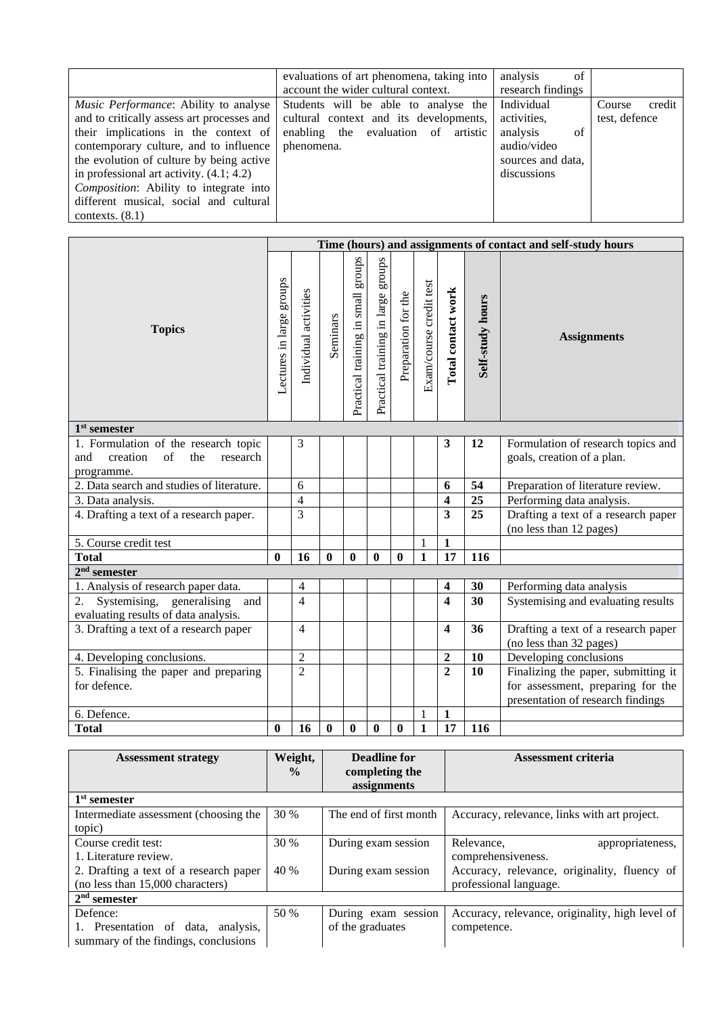|                                                                                                                                                                                                                                                                                                                                                                                 | evaluations of art phenomena, taking into<br>account the wider cultural context.                                                       | analysis<br>of<br>research findings                                                            |                                   |
|---------------------------------------------------------------------------------------------------------------------------------------------------------------------------------------------------------------------------------------------------------------------------------------------------------------------------------------------------------------------------------|----------------------------------------------------------------------------------------------------------------------------------------|------------------------------------------------------------------------------------------------|-----------------------------------|
| Music Performance: Ability to analyse<br>and to critically assess art processes and<br>their implications in the context of<br>contemporary culture, and to influence<br>the evolution of culture by being active<br>in professional art activity. $(4.1; 4.2)$<br><i>Composition:</i> Ability to integrate into<br>different musical, social and cultural<br>contexts. $(8.1)$ | Students will be able to analyse the<br>cultural context and its developments,<br>enabling the evaluation of<br>artistic<br>phenomena. | Individual<br>activities,<br>analysis<br>of<br>audio/video<br>sources and data,<br>discussions | Course<br>credit<br>test, defence |

| Time (hours) and assignments of contact and self-study hours                                           |                          |                       |          |                                    |                                    |                     |                         |                         |                  |                                                                        |
|--------------------------------------------------------------------------------------------------------|--------------------------|-----------------------|----------|------------------------------------|------------------------------------|---------------------|-------------------------|-------------------------|------------------|------------------------------------------------------------------------|
| <b>Topics</b>                                                                                          | Lectures in large groups | Individual activities | Seminars | Practical training in small groups | Practical training in large groups | Preparation for the | Exam/course credit test | Total contact work      | Self-study hours | <b>Assignments</b>                                                     |
| $1st$ semester                                                                                         |                          |                       |          |                                    |                                    |                     |                         |                         |                  |                                                                        |
| 1. Formulation of the research topic<br>creation<br>$\sigma$ f<br>the<br>research<br>and<br>programme. |                          | 3                     |          |                                    |                                    |                     |                         | 3                       | 12               | Formulation of research topics and<br>goals, creation of a plan.       |
| 2. Data search and studies of literature.                                                              |                          | 6                     |          |                                    |                                    |                     |                         | 6                       | 54               | Preparation of literature review.                                      |
| 3. Data analysis.                                                                                      |                          | $\overline{4}$        |          |                                    |                                    |                     |                         | 4                       | 25               | Performing data analysis.                                              |
| 4. Drafting a text of a research paper.                                                                |                          | 3                     |          |                                    |                                    |                     |                         | 3                       | 25               | Drafting a text of a research paper<br>(no less than 12 pages)         |
| 5. Course credit test                                                                                  |                          |                       |          |                                    |                                    |                     | $\mathbf{1}$            | $\mathbf{1}$            |                  |                                                                        |
| <b>Total</b>                                                                                           | $\mathbf{0}$             | 16                    | $\bf{0}$ | $\mathbf{0}$                       | $\mathbf{0}$                       | $\bf{0}$            | $\mathbf{1}$            | 17                      | 116              |                                                                        |
| $2nd$ semester                                                                                         |                          |                       |          |                                    |                                    |                     |                         |                         |                  |                                                                        |
| 1. Analysis of research paper data.                                                                    |                          | 4                     |          |                                    |                                    |                     |                         | 4                       | 30               | Performing data analysis                                               |
| Systemising, generalising<br>2.<br>and<br>evaluating results of data analysis.                         |                          | $\overline{4}$        |          |                                    |                                    |                     |                         | $\overline{\mathbf{4}}$ | 30               | Systemising and evaluating results                                     |
| 3. Drafting a text of a research paper                                                                 |                          | $\overline{4}$        |          |                                    |                                    |                     |                         | $\overline{\mathbf{4}}$ | 36               | Drafting a text of a research paper<br>(no less than 32 pages)         |
| 4. Developing conclusions.                                                                             |                          | $\overline{c}$        |          |                                    |                                    |                     |                         | $\overline{\mathbf{2}}$ | 10               | Developing conclusions                                                 |
| 5. Finalising the paper and preparing                                                                  |                          | $\overline{2}$        |          |                                    |                                    |                     |                         | $\overline{2}$          | <b>10</b>        | Finalizing the paper, submitting it                                    |
| for defence.                                                                                           |                          |                       |          |                                    |                                    |                     |                         |                         |                  | for assessment, preparing for the<br>presentation of research findings |
| 6. Defence.                                                                                            |                          |                       |          |                                    |                                    |                     | 1                       | $\mathbf{1}$            |                  |                                                                        |
| <b>Total</b>                                                                                           | $\boldsymbol{0}$         | 16                    | $\bf{0}$ | $\bf{0}$                           | $\bf{0}$                           | $\bf{0}$            | $\mathbf{1}$            | 17                      | 116              |                                                                        |

| <b>Assessment strategy</b>             | Weight,       | Deadline for           | <b>Assessment criteria</b>                      |
|----------------------------------------|---------------|------------------------|-------------------------------------------------|
|                                        | $\frac{0}{0}$ | completing the         |                                                 |
|                                        |               | assignments            |                                                 |
| $1st$ semester                         |               |                        |                                                 |
| Intermediate assessment (choosing the  | 30 %          | The end of first month | Accuracy, relevance, links with art project.    |
| topic)                                 |               |                        |                                                 |
| Course credit test:                    | 30 %          | During exam session    | Relevance,<br>appropriateness,                  |
| 1. Literature review.                  |               |                        | comprehensiveness.                              |
| 2. Drafting a text of a research paper | 40 %          | During exam session    | Accuracy, relevance, originality, fluency of    |
| (no less than 15,000 characters)       |               |                        | professional language.                          |
| $2nd$ semester                         |               |                        |                                                 |
| Defence:                               | 50 %          | During exam session    | Accuracy, relevance, originality, high level of |
| 1. Presentation of data, analysis,     |               | of the graduates       | competence.                                     |
| summary of the findings, conclusions   |               |                        |                                                 |